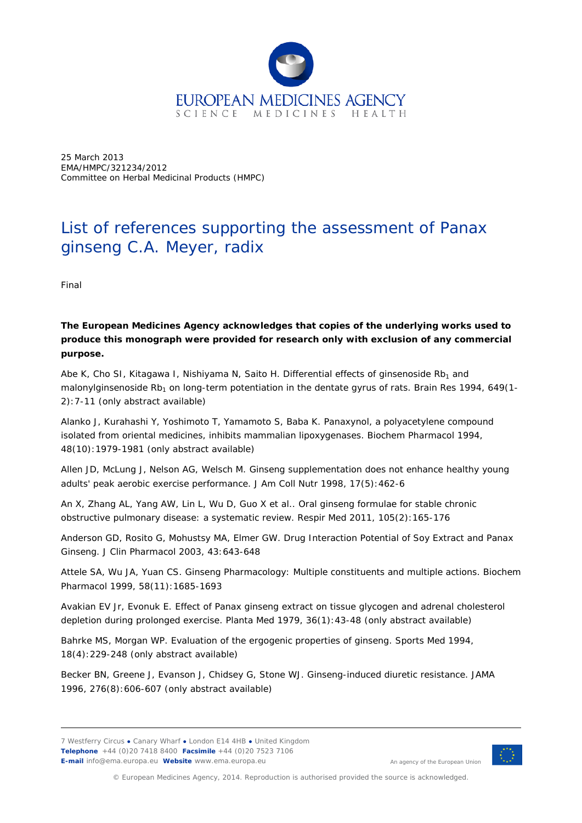

25 March 2013 EMA/HMPC/321234/2012 Committee on Herbal Medicinal Products (HMPC)

## List of references supporting the assessment of *Panax ginseng* C.A. Meyer, radix

Final

**The European Medicines Agency acknowledges that copies of the underlying works used to produce this monograph were provided for research only with exclusion of any commercial purpose.**

Abe K, Cho SI, Kitagawa I, Nishiyama N, Saito H. Differential effects of ginsenoside  $Rb<sub>1</sub>$  and malonylginsenoside Rb<sub>1</sub> on long-term potentiation in the dentate gyrus of rats. *Brain Res* 1994, 649(1-2):7-11 (only abstract available)

Alanko J, Kurahashi Y, Yoshimoto T, Yamamoto S, Baba K. Panaxynol, a polyacetylene compound isolated from oriental medicines, inhibits mammalian lipoxygenases. *Biochem Pharmacol* 1994, 48(10):1979-1981 (only abstract available)

Allen JD, McLung J, Nelson AG, Welsch M. Ginseng supplementation does not enhance healthy young adults' peak aerobic exercise performance*. J Am Coll Nutr* 1998, 17(5):462-6

An X, Zhang AL, Yang AW, Lin L, Wu D, Guo X *et al*.. Oral ginseng formulae for stable chronic obstructive pulmonary disease: a systematic review. *Respir Med* 2011, 105(2):165-176

Anderson GD, Rosito G, Mohustsy MA, Elmer GW. Drug Interaction Potential of Soy Extract and Panax Ginseng. *J Clin Pharmacol* 2003, 43:643-648

Attele SA, Wu JA, Yuan CS. Ginseng Pharmacology: Multiple constituents and multiple actions. *Biochem Pharmacol* 1999, 58(11):1685-1693

Avakian EV Jr, Evonuk E. Effect of Panax ginseng extract on tissue glycogen and adrenal cholesterol depletion during prolonged exercise. *Planta Med* 1979, 36(1):43-48 (only abstract available)

Bahrke MS, Morgan WP. Evaluation of the ergogenic properties of ginseng. *Sports Med* 1994, 18(4):229-248 (only abstract available)

Becker BN, Greene J, Evanson J, Chidsey G, Stone WJ. Ginseng-induced diuretic resistance. *JAMA* 1996, 276(8):606-607 (only abstract available)



An agency of the European Union

© European Medicines Agency, 2014. Reproduction is authorised provided the source is acknowledged.

<sup>7</sup> Westferry Circus **●** Canary Wharf **●** London E14 4HB **●** United Kingdom **Telephone** +44 (0)20 7418 8400 **Facsimile** +44 (0)20 7523 7106 **E-mail** info@ema.europa.eu **Website** www.ema.europa.eu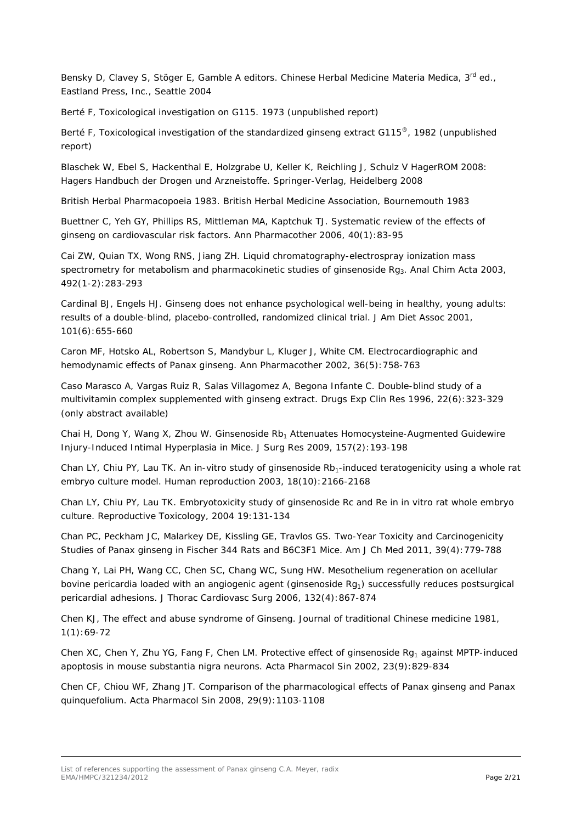Bensky D, Clavey S, Stöger E, Gamble A editors. Chinese Herbal Medicine Materia Medica, 3<sup>rd</sup> ed., Eastland Press, Inc., Seattle 2004

Berté F, Toxicological investigation on G115. 1973 (unpublished report)

Berté F, Toxicological investigation of the standardized ginseng extract G115<sup>®</sup>, 1982 (unpublished report)

Blaschek W, Ebel S, Hackenthal E, Holzgrabe U, Keller K, Reichling J, Schulz V HagerROM 2008: Hagers Handbuch der Drogen und Arzneistoffe. Springer-Verlag, Heidelberg 2008

British Herbal Pharmacopoeia 1983. British Herbal Medicine Association, Bournemouth 1983

Buettner C, Yeh GY, Phillips RS, Mittleman MA, Kaptchuk TJ. Systematic review of the effects of ginseng on cardiovascular risk factors. *Ann Pharmacother* 2006, 40(1):83-95

Cai ZW, Quian TX, Wong RNS, Jiang ZH. Liquid chromatography-electrospray ionization mass spectrometry for metabolism and pharmacokinetic studies of ginsenoside Rg3. *Anal Chim Acta* 2003, 492(1-2):283-293

Cardinal BJ, Engels HJ. Ginseng does not enhance psychological well-being in healthy, young adults: results of a double-blind, placebo-controlled, randomized clinical trial. *J Am Diet Assoc* 2001, 101(6):655-660

Caron MF, Hotsko AL, Robertson S, Mandybur L, Kluger J, White CM. Electrocardiographic and hemodynamic effects of Panax ginseng. *Ann Pharmacother* 2002, 36(5):758-763

Caso Marasco A, Vargas Ruiz R, Salas Villagomez A, Begona Infante C. Double-blind study of a multivitamin complex supplemented with ginseng extract. *Drugs Exp Clin Res* 1996, 22(6):323-329 (only abstract available)

Chai H, Dong Y, Wang X, Zhou W. Ginsenoside Rb<sub>1</sub> Attenuates Homocysteine-Augmented Guidewire Injury-Induced Intimal Hyperplasia in Mice. *J Surg Res* 2009, 157(2):193-198

Chan LY, Chiu PY, Lau TK. An in-vitro study of ginsenoside Rb<sub>1</sub>-induced teratogenicity using a whole rat embryo culture model. *Human reproduction* 2003, 18(10):2166-2168

Chan LY, Chiu PY, Lau TK. Embryotoxicity study of ginsenoside Rc and Re in in vitro rat whole embryo culture. *Reproductive Toxicology*, 2004 19:131-134

Chan PC, Peckham JC, Malarkey DE, Kissling GE, Travlos GS. Two-Year Toxicity and Carcinogenicity Studies of Panax ginseng in Fischer 344 Rats and B6C3F1 Mice. *Am J Ch Med* 2011, 39(4):779-788

Chang Y, Lai PH, Wang CC, Chen SC, Chang WC, Sung HW. Mesothelium regeneration on acellular bovine pericardia loaded with an angiogenic agent (ginsenoside  $Rg_1$ ) successfully reduces postsurgical pericardial adhesions. *J Thorac Cardiovasc Surg* 2006, 132(4):867-874

Chen KJ, The effect and abuse syndrome of Ginseng. *Journal of traditional Chinese medicine* 1981, 1(1):69-72

Chen XC, Chen Y, Zhu YG, Fang F, Chen LM. Protective effect of ginsenoside  $Rq_1$  against MPTP-induced apoptosis in mouse substantia nigra neurons. *Acta Pharmacol Sin* 2002, 23(9):829-834

Chen CF, Chiou WF, Zhang JT. Comparison of the pharmacological effects of *Panax ginseng* and *Panax quinquefolium. Acta Pharmacol Sin* 2008, 29(9):1103-1108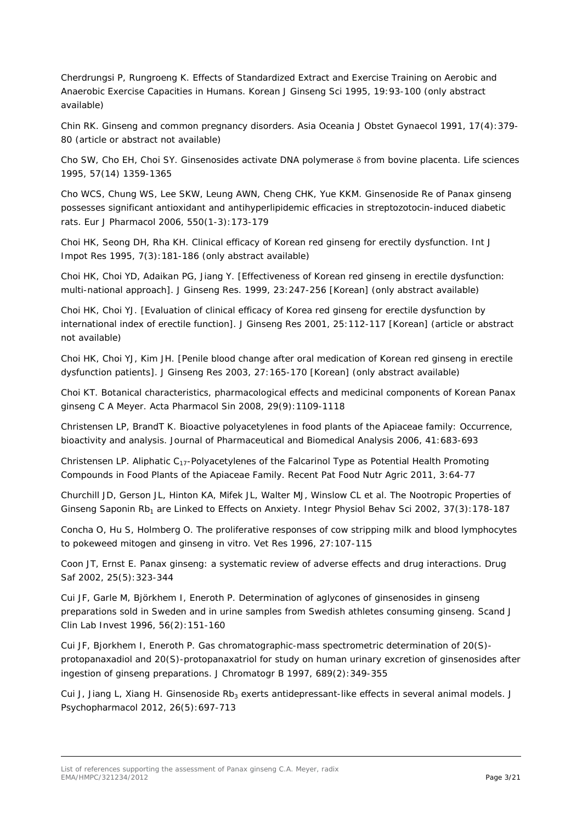Cherdrungsi P, Rungroeng K. Effects of Standardized Extract and Exercise Training on Aerobic and Anaerobic Exercise Capacities in Humans. *Korean J Ginseng Sci* 1995, 19:93-100 (only abstract available)

Chin RK. Ginseng and common pregnancy disorders. *Asia Oceania J Obstet Gynaecol* 1991, 17(4):379- 80 (article or abstract not available)

Cho SW, Cho EH, Choi SY. Ginsenosides activate DNA polymerase δ from bovine placenta. *Life sciences* 1995, 57(14) 1359-1365

Cho WCS, Chung WS, Lee SKW, Leung AWN, Cheng CHK, Yue KKM. Ginsenoside Re of Panax ginseng possesses significant antioxidant and antihyperlipidemic efficacies in streptozotocin-induced diabetic rats. *Eur J Pharmacol* 2006, 550(1-3):173-179

Choi HK, Seong DH, Rha KH. Clinical efficacy of Korean red ginseng for erectily dysfunction. *Int J Impot Res* 1995, 7(3):181-186 (only abstract available)

Choi HK, Choi YD, Adaikan PG, Jiang Y. [Effectiveness of Korean red ginseng in erectile dysfunction: multi-national approach]. *J Ginseng Res.* 1999, 23:247-256 [Korean] (only abstract available)

Choi HK, Choi YJ. [Evaluation of clinical efficacy of Korea red ginseng for erectile dysfunction by international index of erectile function]. *J Ginseng Res* 2001, 25:112-117 [Korean] (article or abstract not available)

Choi HK, Choi YJ, Kim JH. [Penile blood change after oral medication of Korean red ginseng in erectile dysfunction patients]. *J Ginseng Res* 2003, 27:165-170 [Korean] (only abstract available)

Choi KT. Botanical characteristics, pharmacological effects and medicinal components of Korean Panax ginseng C A Meyer. *Acta Pharmacol Sin* 2008, 29(9):1109-1118

Christensen LP, BrandT K. Bioactive polyacetylenes in food plants of the Apiaceae family: Occurrence, bioactivity and analysis. *Journal of Pharmaceutical and Biomedical Analysis* 2006, 41:683-693

Christensen LP. Aliphatic C17-Polyacetylenes of the Falcarinol Type as Potential Health Promoting Compounds in Food Plants of the Apiaceae Family. *Recent Pat Food Nutr Agric* 2011, 3:64-77

Churchill JD, Gerson JL, Hinton KA, Mifek JL, Walter MJ, Winslow CL *et al*. The Nootropic Properties of Ginseng Saponin Rb<sub>1</sub> are Linked to Effects on Anxiety. *Integr Physiol Behav Sci* 2002, 37(3):178-187

Concha O, Hu S, Holmberg O. The proliferative responses of cow stripping milk and blood lymphocytes to pokeweed mitogen and ginseng in vitro. *Vet Res* 1996, 27:107-115

Coon JT, Ernst E. Panax ginseng: a systematic review of adverse effects and drug interactions. *Drug Saf* 2002, 25(5):323-344

Cui JF, Garle M, Björkhem I, Eneroth P. Determination of aglycones of ginsenosides in ginseng preparations sold in Sweden and in urine samples from Swedish athletes consuming ginseng. *Scand J Clin Lab Invest* 1996, 56(2):151-160

Cui JF, Bjorkhem I, Eneroth P. Gas chromatographic-mass spectrometric determination of 20(S) protopanaxadiol and 20(S)-protopanaxatriol for study on human urinary excretion of ginsenosides after ingestion of ginseng preparations. *J Chromatogr B 1997*, 689(2):349-355

Cui J, Jiang L, Xiang H. Ginsenoside Rb<sub>3</sub> exerts antidepressant-like effects in several animal models. *J Psychopharmacol* 2012, 26(5):697-713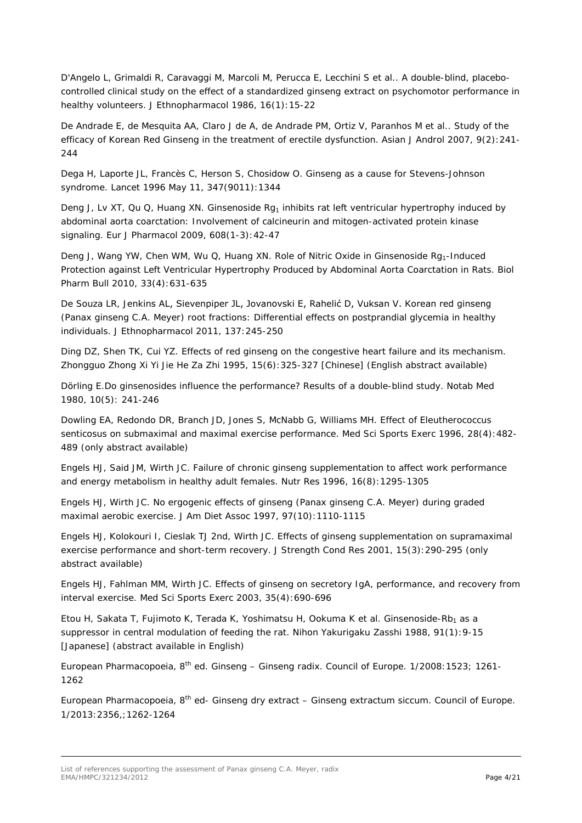D'Angelo L, Grimaldi R, Caravaggi M, Marcoli M, Perucca E, Lecchini S *et al.*. A double-blind, placebocontrolled clinical study on the effect of a standardized ginseng extract on psychomotor performance in healthy volunteers*. J Ethnopharmacol* 1986, 16(1):15-22

De Andrade E, de Mesquita AA, Claro J de A, de Andrade PM, Ortiz V, Paranhos M *et al.*. Study of the efficacy of Korean Red Ginseng in the treatment of erectile dysfunction. *Asian J Androl* 2007, 9(2):241- 244

Dega H, Laporte JL, Francès C, Herson S, Chosidow O. Ginseng as a cause for Stevens-Johnson syndrome. *Lancet* 1996 May 11, 347(9011):1344

Deng J, Lv XT, Qu Q, Huang XN. Ginsenoside Rg<sub>1</sub> inhibits rat left ventricular hypertrophy induced by abdominal aorta coarctation: Involvement of calcineurin and mitogen-activated protein kinase signaling. *Eur J Pharmacol* 2009, 608(1-3):42-47

Deng J, Wang YW, Chen WM, Wu Q, Huang XN, Role of Nitric Oxide in Ginsenoside Rg<sub>1</sub>-Induced Protection against Left Ventricular Hypertrophy Produced by Abdominal Aorta Coarctation in Rats. *Biol Pharm Bull* 2010, 33(4):631-635

De Souza LR, Jenkins AL, Sievenpiper JL, Jovanovski E, Rahelić D, Vuksan V. Korean red ginseng (*Panax ginseng* C.A. Meyer) root fractions: Differential effects on postprandial glycemia in healthy individuals. *J Ethnopharmacol* 2011, 137:245-250

Ding DZ, Shen TK, Cui YZ. Effects of red ginseng on the congestive heart failure and its mechanism. *Zhongguo Zhong Xi Yi Jie He Za Zhi* 1995, 15(6):325-327 [Chinese] (English abstract available)

Dörling E.Do ginsenosides influence the performance? Results of a double-blind study. *Notab Med* 1980, 10(5): 241-246

Dowling EA, Redondo DR, Branch JD, Jones S, McNabb G, Williams MH. Effect of Eleutherococcus senticosus on submaximal and maximal exercise performance. *Med Sci Sports Exerc* 1996, 28(4):482- 489 (only abstract available)

Engels HJ, Said JM, Wirth JC. Failure of chronic ginseng supplementation to affect work performance and energy metabolism in healthy adult females. *Nutr Res* 1996, 16(8):1295-1305

Engels HJ, Wirth JC. No ergogenic effects of ginseng (Panax ginseng C.A. Meyer) during graded maximal aerobic exercise*. J Am Diet Assoc* 1997, 97(10):1110-1115

Engels HJ, Kolokouri I, Cieslak TJ 2nd, Wirth JC. Effects of ginseng supplementation on supramaximal exercise performance and short-term recovery. *J Strength Cond Res* 2001, 15(3):290-295 (only abstract available)

Engels HJ, Fahlman MM, Wirth JC. Effects of ginseng on secretory IgA, performance, and recovery from interval exercise. *Med Sci Sports Exerc* 2003, 35(4):690-696

Etou H, Sakata T, Fujimoto K, Terada K, Yoshimatsu H, Ookuma K et al. Ginsenoside-Rb<sub>1</sub> as a suppressor in central modulation of feeding the rat. *Nihon Yakurigaku Zasshi* 1988, 91(1):9-15 [Japanese] (abstract available in English)

European Pharmacopoeia,  $8^{th}$  ed. Ginseng – Ginseng radix. Council of Europe. 1/2008: 1523; 1261-1262

European Pharmacopoeia,  $8<sup>th</sup>$  ed- Ginseng dry extract – Ginseng extractum siccum. Council of Europe. 1/2013:2356,;1262-1264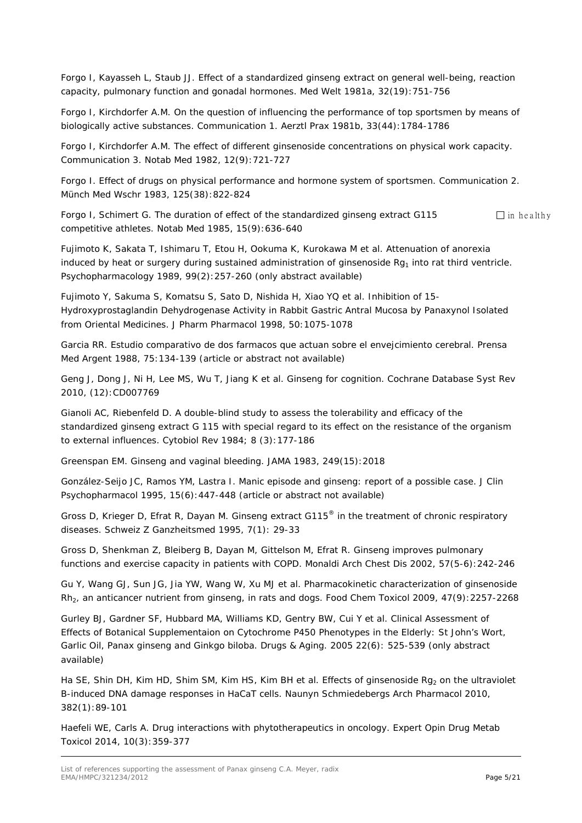Forgo I, Kayasseh L, Staub JJ. Effect of a standardized ginseng extract on general well-being, reaction capacity, pulmonary function and gonadal hormones. *Med Welt* 1981a, 32(19):751-756

Forgo I, Kirchdorfer A.M. On the question of influencing the performance of top sportsmen by means of biologically active substances. Communication 1. *Aerztl Prax* 1981b, 33(44):1784-1786

Forgo I, Kirchdorfer A.M. The effect of different ginsenoside concentrations on physical work capacity. Communication 3. *Notab Med* 1982, 12(9):721-727

Forgo I. Effect of drugs on physical performance and hormone system of sportsmen. Communication 2. *Münch Med Wschr 1983,* 125(38):822-824

Forgo I, Schimert G. The duration of effect of the standardized ginseng extract G115  $\Box$  in healthy competitive athletes*. Notab Med* 1985, 15(9):636-640

Fujimoto K, Sakata T, Ishimaru T, Etou H, Ookuma K, Kurokawa M *et al*. Attenuation of anorexia induced by heat or surgery during sustained administration of ginsenoside Rg<sub>1</sub> into rat third ventricle. *Psychopharmacology* 1989, 99(2):257-260 (only abstract available)

Fujimoto Y, Sakuma S, Komatsu S, Sato D, Nishida H, Xiao YQ *et al*. Inhibition of 15- Hydroxyprostaglandin Dehydrogenase Activity in Rabbit Gastric Antral Mucosa by Panaxynol Isolated from Oriental Medicines. *J Pharm Pharmacol* 1998, 50:1075-1078

Garcia RR. Estudio comparativo de dos farmacos que actuan sobre el envejcimiento cerebral. *Prensa Med Argent* 1988, 75:134-139 (article or abstract not available)

Geng J, Dong J, Ni H, Lee MS, Wu T, Jiang K *et al*. Ginseng for cognition. *Cochrane Database Syst Rev* 2010, (12):CD007769

Gianoli AC, Riebenfeld D. A double-blind study to assess the tolerability and efficacy of the standardized ginseng extract G 115 with special regard to its effect on the resistance of the organism to external influences. *Cytobiol Rev* 1984; 8 (3):177-186

Greenspan EM. Ginseng and vaginal bleeding. *JAMA* 1983, 249(15):2018

González-Seijo JC, Ramos YM, Lastra I. Manic episode and ginseng: report of a possible case. *J Clin Psychopharmacol* 1995, 15(6):447-448 (article or abstract not available)

Gross D, Krieger D, Efrat R, Dayan M. Ginseng extract G115® in the treatment of chronic respiratory diseases. *Schweiz Z Ganzheitsmed* 1995, 7(1): 29-33

Gross D, Shenkman Z, Bleiberg B, Dayan M, Gittelson M, Efrat R. Ginseng improves pulmonary functions and exercise capacity in patients with COPD. *Monaldi Arch Chest Dis* 2002, 57(5-6):242-246

Gu Y, Wang GJ, Sun JG, Jia YW, Wang W, Xu MJ *et al*. Pharmacokinetic characterization of ginsenoside Rh2, an anticancer nutrient from ginseng, in rats and dogs. *Food Chem Toxicol* 2009, 47(9):2257-2268

Gurley BJ, Gardner SF, Hubbard MA, Williams KD, Gentry BW, Cui Y *et al*. Clinical Assessment of Effects of Botanical Supplementaion on Cytochrome P450 Phenotypes in the Elderly: St John's Wort, Garlic Oil, Panax ginseng and Ginkgo biloba. *Drugs & Aging*. 2005 22(6): 525-539 (only abstract available)

Ha SE, Shin DH, Kim HD, Shim SM, Kim HS, Kim BH *et al*. Effects of ginsenoside Rg<sub>2</sub> on the ultraviolet B-induced DNA damage responses in HaCaT cells. *Naunyn Schmiedebergs Arch Pharmacol* 2010, 382(1):89-101

Haefeli WE, Carls A. Drug interactions with phytotherapeutics in oncology. *Expert Opin Drug Metab Toxicol* 2014, 10(3):359-377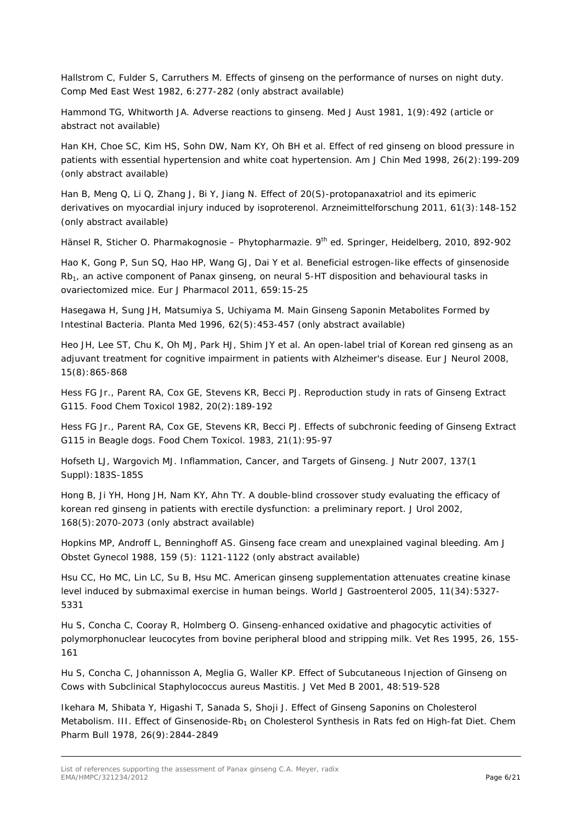Hallstrom C, Fulder S, Carruthers M. Effects of ginseng on the performance of nurses on night duty. *Comp Med East West* 1982, 6:277-282 (only abstract available)

Hammond TG, Whitworth JA. Adverse reactions to ginseng. *Med J Aust* 1981, 1(9):492 (article or abstract not available)

Han KH, Choe SC, Kim HS, Sohn DW, Nam KY, Oh BH *et al.* Effect of red ginseng on blood pressure in patients with essential hypertension and white coat hypertension. *Am J Chin Med* 1998, 26(2):199-209 (only abstract available)

Han B, Meng Q, Li Q, Zhang J, Bi Y, Jiang N. Effect of 20(S)-protopanaxatriol and its epimeric derivatives on myocardial injury induced by isoproterenol. *Arzneimittelforschung* 2011, 61(3):148-152 (only abstract available)

Hänsel R, Sticher O. Pharmakognosie – Phytopharmazie. 9<sup>th</sup> ed. Springer, Heidelberg, 2010, 892-902

Hao K, Gong P, Sun SQ, Hao HP, Wang GJ, Dai Y *et al*. Beneficial estrogen-like effects of ginsenoside  $Rb<sub>1</sub>$ , an active component of Panax ginseng, on neural 5-HT disposition and behavioural tasks in ovariectomized mice. *Eur J Pharmacol* 2011, 659:15-25

Hasegawa H, Sung JH, Matsumiya S, Uchiyama M. Main Ginseng Saponin Metabolites Formed by Intestinal Bacteria. *Planta Med* 1996, 62(5):453-457 (only abstract available)

Heo JH, Lee ST, Chu K, Oh MJ, Park HJ, Shim JY *et al*. An open-label trial of Korean red ginseng as an adjuvant treatment for cognitive impairment in patients with Alzheimer's disease. *Eur J Neurol* 2008, 15(8):865-868

Hess FG Jr., Parent RA, Cox GE, Stevens KR, Becci PJ. Reproduction study in rats of Ginseng Extract G115. *Food Chem Toxicol* 1982, 20(2):189-192

Hess FG Jr., Parent RA, Cox GE, Stevens KR, Becci PJ. Effects of subchronic feeding of Ginseng Extract G115 in Beagle dogs. *Food Chem Toxicol*. 1983, 21(1):95-97

Hofseth LJ, Wargovich MJ. Inflammation, Cancer, and Targets of Ginseng. *J Nutr* 2007, 137(1 Suppl):183S-185S

Hong B, Ji YH, Hong JH, Nam KY, Ahn TY. A double-blind crossover study evaluating the efficacy of korean red ginseng in patients with erectile dysfunction: a preliminary report. *J Urol* 2002, 168(5):2070-2073 (only abstract available)

Hopkins MP, Androff L, Benninghoff AS. Ginseng face cream and unexplained vaginal bleeding. *Am J Obstet Gynecol* 1988, 159 (5): 1121-1122 (only abstract available)

Hsu CC, Ho MC, Lin LC, Su B, Hsu MC. American ginseng supplementation attenuates creatine kinase level induced by submaximal exercise in human beings. *World J Gastroenterol* 2005, 11(34):5327- 5331

Hu S, Concha C, Cooray R, Holmberg O. Ginseng-enhanced oxidative and phagocytic activities of polymorphonuclear leucocytes from bovine peripheral blood and stripping milk. *Vet Res* 1995, 26, 155- 161

Hu S, Concha C, Johannisson A, Meglia G, Waller KP. Effect of Subcutaneous Injection of Ginseng on Cows with Subclinical Staphylococcus aureus Mastitis. *J Vet Med B* 2001, 48:519-528

Ikehara M, Shibata Y, Higashi T, Sanada S, Shoji J. Effect of Ginseng Saponins on Cholesterol Metabolism. III. Effect of Ginsenoside-Rb<sub>1</sub> on Cholesterol Synthesis in Rats fed on High-fat Diet. *Chem Pharm Bull* 1978, 26(9):2844-2849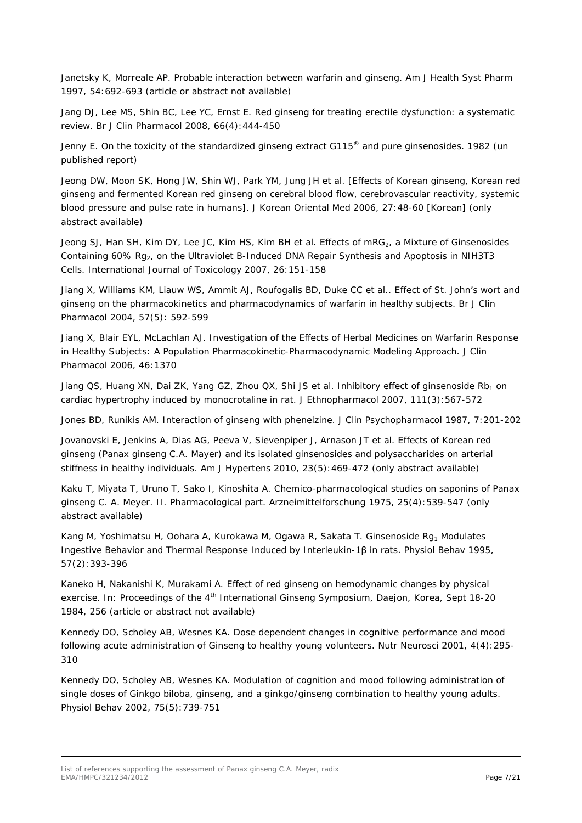Janetsky K, Morreale AP. Probable interaction between warfarin and ginseng. *Am J Health Syst Pharm* 1997, 54:692-693 (article or abstract not available)

Jang DJ, Lee MS, Shin BC, Lee YC, Ernst E. Red ginseng for treating erectile dysfunction: a systematic review. *Br J Clin Pharmacol* 2008, 66(4):444-450

Jenny E. On the toxicity of the standardized ginseng extract G115® and pure ginsenosides. 1982 (un published report)

Jeong DW, Moon SK, Hong JW, Shin WJ, Park YM, Jung JH *et al*. [Effects of Korean ginseng, Korean red ginseng and fermented Korean red ginseng on cerebral blood flow, cerebrovascular reactivity, systemic blood pressure and pulse rate in humans]. *J Korean Oriental Med* 2006, 27:48-60 [Korean] (only abstract available)

Jeong SJ, Han SH, Kim DY, Lee JC, Kim HS, Kim BH *et al*. Effects of mRG<sub>2</sub>, a Mixture of Ginsenosides Containing 60% Rg<sub>2</sub>, on the Ultraviolet B-Induced DNA Repair Synthesis and Apoptosis in NIH3T3 Cells. *International Journal of Toxicology* 2007, 26:151-158

Jiang X, Williams KM, Liauw WS, Ammit AJ, Roufogalis BD, Duke CC *et al*.. Effect of St. John's wort and ginseng on the pharmacokinetics and pharmacodynamics of warfarin in healthy subjects. *Br J Clin Pharmacol* 2004, 57(5): 592-599

Jiang X, Blair EYL, McLachlan AJ. Investigation of the Effects of Herbal Medicines on Warfarin Response in Healthy Subjects: A Population Pharmacokinetic-Pharmacodynamic Modeling Approach. *J Clin Pharmacol* 2006, 46:1370

Jiang QS, Huang XN, Dai ZK, Yang GZ, Zhou QX, Shi JS *et al.* Inhibitory effect of ginsenoside Rb<sub>1</sub> on cardiac hypertrophy induced by monocrotaline in rat. *J Ethnopharmacol* 2007, 111(3):567-572

Jones BD, Runikis AM. Interaction of ginseng with phenelzine. *J Clin Psychopharmacol* 1987, 7:201-202

Jovanovski E, Jenkins A, Dias AG, Peeva V, Sievenpiper J, Arnason JT *et al*. Effects of Korean red ginseng (Panax ginseng C.A. Mayer) and its isolated ginsenosides and polysaccharides on arterial stiffness in healthy individuals. *Am J Hypertens* 2010, 23(5):469-472 (only abstract available)

Kaku T, Miyata T, Uruno T, Sako I, Kinoshita A. Chemico-pharmacological studies on saponins of Panax ginseng C. A. Meyer. II. Pharmacological part. *Arzneimittelforschung* 1975, 25(4):539-547 (only abstract available)

Kang M, Yoshimatsu H, Oohara A, Kurokawa M, Ogawa R, Sakata T. Ginsenoside Rg<sub>1</sub> Modulates Ingestive Behavior and Thermal Response Induced by Interleukin-1β in rats. *Physiol Behav* 1995, 57(2):393-396

Kaneko H, Nakanishi K, Murakami A. Effect of red ginseng on hemodynamic changes by physical exercise. *In: Proceedings of the 4th International Ginseng Symposium*, Daejon, Korea, Sept 18-20 1984, 256 (article or abstract not available)

Kennedy DO, Scholey AB, Wesnes KA. Dose dependent changes in cognitive performance and mood following acute administration of Ginseng to healthy young volunteers. *Nutr Neurosci* 2001, 4(4):295- 310

Kennedy DO, Scholey AB, Wesnes KA. Modulation of cognition and mood following administration of single doses of Ginkgo biloba, ginseng, and a ginkgo/ginseng combination to healthy young adults. *Physiol Behav* 2002, 75(5):739-751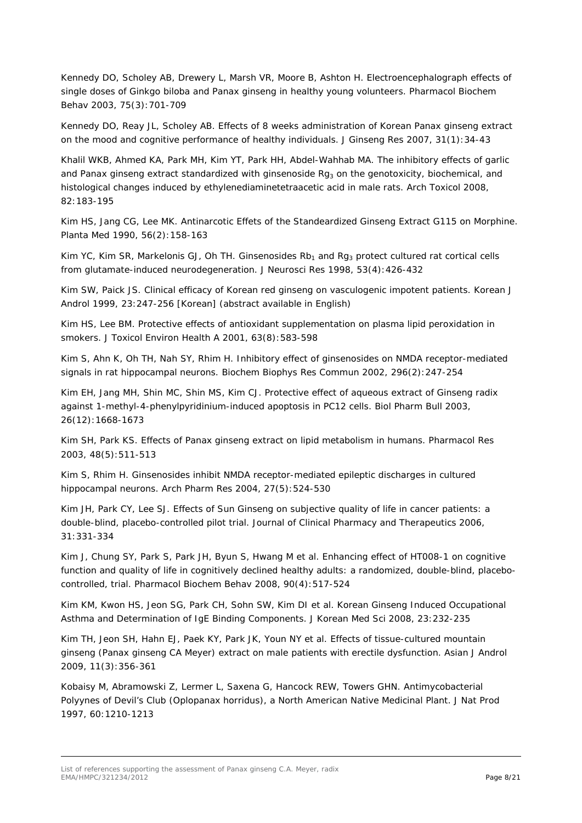Kennedy DO, Scholey AB, Drewery L, Marsh VR, Moore B, Ashton H. Electroencephalograph effects of single doses of Ginkgo biloba and Panax ginseng in healthy young volunteers. *Pharmacol Biochem Behav* 2003, 75(3):701-709

Kennedy DO, Reay JL, Scholey AB. Effects of 8 weeks administration of Korean Panax ginseng extract on the mood and cognitive performance of healthy individuals. *J Ginseng Res 2007*, 31(1):34-43

Khalil WKB, Ahmed KA, Park MH, Kim YT, Park HH, Abdel-Wahhab MA. The inhibitory effects of garlic and *Panax ginseng* extract standardized with ginsenoside Rg<sub>3</sub> on the genotoxicity, biochemical, and histological changes induced by ethylenediaminetetraacetic acid in male rats. *Arch Toxicol* 2008, 82:183-195

Kim HS, Jang CG, Lee MK. Antinarcotic Effets of the Standeardized Ginseng Extract G115 on Morphine. *Planta Med* 1990, 56(2):158-163

Kim YC, Kim SR, Markelonis GJ, Oh TH. Ginsenosides  $Rb_1$  and  $Ra_3$  protect cultured rat cortical cells from glutamate-induced neurodegeneration. *J Neurosci Res* 1998, 53(4):426-432

Kim SW, Paick JS. Clinical efficacy of Korean red ginseng on vasculogenic impotent patients. Korean J Androl 1999, 23:247-256 [Korean] (abstract available in English)

Kim HS, Lee BM. Protective effects of antioxidant supplementation on plasma lipid peroxidation in smokers. *J Toxicol Environ Health A* 2001, 63(8):583-598

Kim S, Ahn K, Oh TH, Nah SY, Rhim H. Inhibitory effect of ginsenosides on NMDA receptor-mediated signals in rat hippocampal neurons. *Biochem Biophys Res Commun* 2002, 296(2):247-254

Kim EH, Jang MH, Shin MC, Shin MS, Kim CJ. Protective effect of aqueous extract of Ginseng radix against 1-methyl-4-phenylpyridinium-induced apoptosis in PC12 cells. *Biol Pharm Bull* 2003, 26(12):1668-1673

Kim SH, Park KS. Effects of Panax ginseng extract on lipid metabolism in humans. *Pharmacol Res* 2003, 48(5):511-513

Kim S, Rhim H. Ginsenosides inhibit NMDA receptor-mediated epileptic discharges in cultured hippocampal neurons. Arch Pharm Res 2004, 27(5):524-530

Kim JH, Park CY, Lee SJ. Effects of Sun Ginseng on subjective quality of life in cancer patients: a double-blind, placebo-controlled pilot trial. *Journal of Clinical Pharmacy and Therapeutics* 2006, 31:331-334

Kim J, Chung SY, Park S, Park JH, Byun S, Hwang M *et al*. Enhancing effect of HT008-1 on cognitive function and quality of life in cognitively declined healthy adults: a randomized, double-blind, placebocontrolled, trial. *Pharmacol Biochem Behav* 2008, 90(4):517-524

Kim KM, Kwon HS, Jeon SG, Park CH, Sohn SW, Kim DI *et al*. Korean Ginseng Induced Occupational Asthma and Determination of IgE Binding Components. *J Korean Med Sci* 2008, 23:232-235

Kim TH, Jeon SH, Hahn EJ, Paek KY, Park JK, Youn NY *et al*. Effects of tissue-cultured mountain ginseng (Panax ginseng CA Meyer) extract on male patients with erectile dysfunction. *Asian J Androl* 2009, 11(3):356-361

Kobaisy M, Abramowski Z, Lermer L, Saxena G, Hancock REW, Towers GHN. Antimycobacterial Polyynes of Devil's Club (*Oplopanax horridus*), a North American Native Medicinal Plant. *J Nat Prod* 1997, 60:1210-1213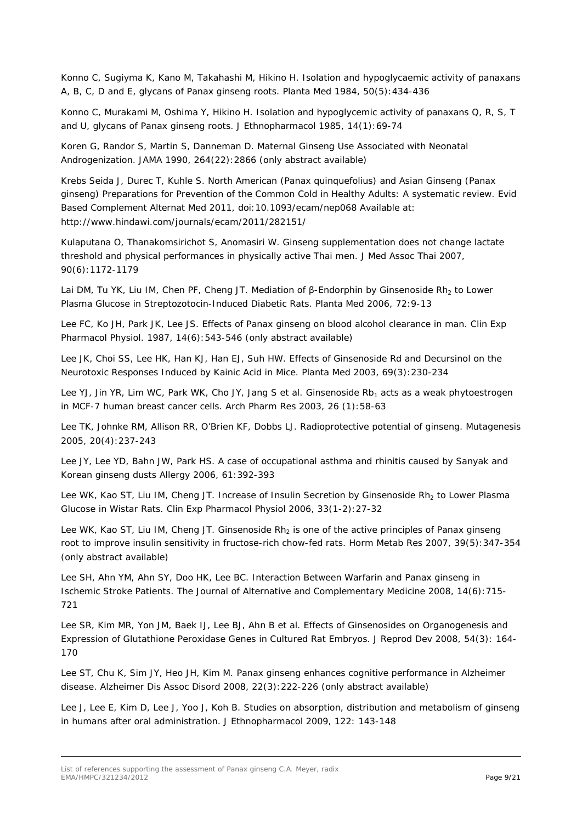Konno C, Sugiyma K, Kano M, Takahashi M, Hikino H. Isolation and hypoglycaemic activity of panaxans A, B, C, D and E, glycans of Panax ginseng roots. Planta Med 1984, 50(5):434-436

Konno C, Murakami M, Oshima Y, Hikino H. Isolation and hypoglycemic activity of panaxans Q, R, S, T and U, glycans of Panax ginseng roots. *J Ethnopharmacol* 1985, 14(1):69-74

Koren G, Randor S, Martin S, Danneman D. Maternal Ginseng Use Associated with Neonatal Androgenization. *JAMA* 1990, 264(22):2866 (only abstract available)

Krebs Seida J, Durec T, Kuhle S. North American (Panax quinquefolius) and Asian Ginseng (Panax ginseng) Preparations for Prevention of the Common Cold in Healthy Adults: A systematic review. *Evid Based Complement Alternat Med* 2011, doi:10.1093/ecam/nep068 Available at: http://www.hindawi.com/journals/ecam/2011/282151/

Kulaputana O, Thanakomsirichot S, Anomasiri W. Ginseng supplementation does not change lactate threshold and physical performances in physically active Thai men. *J Med Assoc Thai* 2007, 90(6):1172-1179

Lai DM, Tu YK, Liu IM, Chen PF, Cheng JT. Mediation of β-Endorphin by Ginsenoside Rh<sub>2</sub> to Lower Plasma Glucose in Streptozotocin-Induced Diabetic Rats. *Planta Med* 2006, 72:9-13

Lee FC, Ko JH, Park JK, Lee JS. Effects of Panax ginseng on blood alcohol clearance in man. *Clin Exp Pharmacol Physiol*. 1987, 14(6):543-546 (only abstract available)

Lee JK, Choi SS, Lee HK, Han KJ, Han EJ, Suh HW. Effects of Ginsenoside Rd and Decursinol on the Neurotoxic Responses Induced by Kainic Acid in Mice. *Planta Med* 2003, 69(3):230-234

Lee YJ, Jin YR, Lim WC, Park WK, Cho JY, Jang S *et al*. Ginsenoside Rb<sub>1</sub> acts as a weak phytoestrogen in MCF-7 human breast cancer cells. *Arch Pharm Res* 2003, 26 (1):58-63

Lee TK, Johnke RM, Allison RR, O'Brien KF, Dobbs LJ. Radioprotective potential of ginseng. *Mutagenesis* 2005, 20(4):237-243

Lee JY, Lee YD, Bahn JW, Park HS. A case of occupational asthma and rhinitis caused by Sanyak and Korean ginseng dusts *Allergy* 2006, 61:392-393

Lee WK, Kao ST, Liu IM, Cheng JT. Increase of Insulin Secretion by Ginsenoside Rh<sub>2</sub> to Lower Plasma Glucose in Wistar Rats. *Clin Exp Pharmacol Physiol* 2006, 33(1-2):27-32

Lee WK, Kao ST, Liu IM, Cheng JT. Ginsenoside  $Rh<sub>2</sub>$  is one of the active principles of Panax ginseng root to improve insulin sensitivity in fructose-rich chow-fed rats. *Horm Metab Res* 2007, 39(5):347-354 (only abstract available)

Lee SH, Ahn YM, Ahn SY, Doo HK, Lee BC. Interaction Between Warfarin and Panax ginseng in Ischemic Stroke Patients*. The Journal of Alternative and Complementary Medicine* 2008, 14(6):715- 721

Lee SR, Kim MR, Yon JM, Baek IJ, Lee BJ, Ahn B *et al*. Effects of Ginsenosides on Organogenesis and Expression of Glutathione Peroxidase Genes in Cultured Rat Embryos. *J Reprod Dev* 2008, 54(3): 164- 170

Lee ST, Chu K, Sim JY, Heo JH, Kim M. Panax ginseng enhances cognitive performance in Alzheimer disease. *Alzheimer Dis Assoc Disord* 2008, 22(3):222-226 (only abstract available)

Lee J, Lee E, Kim D, Lee J, Yoo J, Koh B. Studies on absorption, distribution and metabolism of ginseng in humans after oral administration. *J Ethnopharmacol* 2009, 122: 143-148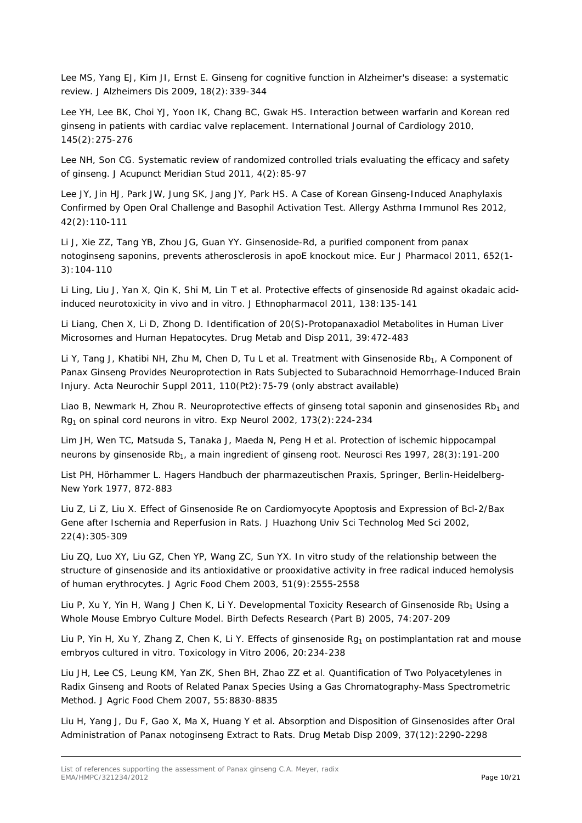Lee MS, Yang EJ, Kim JI, Ernst E. Ginseng for cognitive function in Alzheimer's disease: a systematic review. *J Alzheimers Dis* 2009, 18(2):339-344

Lee YH, Lee BK, Choi YJ, Yoon IK, Chang BC, Gwak HS. Interaction between warfarin and Korean red ginseng in patients with cardiac valve replacement*. International Journal of Cardiology* 2010, 145(2):275-276

Lee NH, Son CG. Systematic review of randomized controlled trials evaluating the efficacy and safety of ginseng. *J Acupunct Meridian Stud* 2011, 4(2):85-97

Lee JY, Jin HJ, Park JW, Jung SK, Jang JY, Park HS. A Case of Korean Ginseng-Induced Anaphylaxis Confirmed by Open Oral Challenge and Basophil Activation Test. *Allergy Asthma Immunol Res* 2012, 42(2):110-111

Li J, Xie ZZ, Tang YB, Zhou JG, Guan YY. Ginsenoside-Rd, a purified component from panax notoginseng saponins, prevents atherosclerosis in apoE knockout mice. *Eur J Pharmacol* 2011, 652(1- 3):104-110

Li Ling, Liu J, Yan X, Qin K, Shi M, Lin T *et al*. Protective effects of ginsenoside Rd against okadaic acidinduced neurotoxicity in vivo and in vitro. *J Ethnopharmacol* 2011, 138:135-141

Li Liang, Chen X, Li D, Zhong D. Identification of 20(S)-Protopanaxadiol Metabolites in Human Liver Microsomes and Human Hepatocytes. *Drug Metab and Disp 2011,* 39:472-483

Li Y, Tang J, Khatibi NH, Zhu M, Chen D, Tu L et al. Treatment with Ginsenoside Rb<sub>1</sub>, A Component of Panax Ginseng Provides Neuroprotection in Rats Subjected to Subarachnoid Hemorrhage-Induced Brain Injury. *Acta Neurochir Suppl* 2011, 110(Pt2):75-79 (only abstract available)

Liao B, Newmark H, Zhou R. Neuroprotective effects of ginseng total saponin and ginsenosides  $Rb<sub>1</sub>$  and Rg1 on spinal cord neurons in vitro. *Exp Neurol* 2002, 173(2):224-234

Lim JH, Wen TC, Matsuda S, Tanaka J, Maeda N, Peng H *et al*. Protection of ischemic hippocampal neurons by ginsenoside Rb<sub>1</sub>, a main ingredient of ginseng root. *Neurosci Res* 1997, 28(3): 191-200

List PH, Hörhammer L. Hagers Handbuch der pharmazeutischen Praxis, Springer, Berlin-Heidelberg-New York 1977, 872-883

Liu Z, Li Z, Liu X. Effect of Ginsenoside Re on Cardiomyocyte Apoptosis and Expression of Bcl-2/Bax Gene after Ischemia and Reperfusion in Rats. *J Huazhong Univ Sci Technolog Med Sci* 2002, 22(4):305-309

Liu ZQ, Luo XY, Liu GZ, Chen YP, Wang ZC, Sun YX. In vitro study of the relationship between the structure of ginsenoside and its antioxidative or prooxidative activity in free radical induced hemolysis of human erythrocytes. J Agric Food Chem 2003, 51(9):2555-2558

Liu P, Xu Y, Yin H, Wang J Chen K, Li Y. Developmental Toxicity Research of Ginsenoside Rb<sub>1</sub> Using a Whole Mouse Embryo Culture Model. *Birth Defects Research (Part B)* 2005, 74:207-209

Liu P, Yin H, Xu Y, Zhang Z, Chen K, Li Y. Effects of ginsenoside Rg<sub>1</sub> on postimplantation rat and mouse embryos cultured in vitro*. Toxicology in Vitro* 2006, 20:234-238

Liu JH, Lee CS, Leung KM, Yan ZK, Shen BH, Zhao ZZ *et al*. Quantification of Two Polyacetylenes in Radix Ginseng and Roots of Related Panax Species Using a Gas Chromatography-Mass Spectrometric Method. *J Agric Food Chem* 2007, 55:8830-8835

Liu H, Yang J, Du F, Gao X, Ma X, Huang Y *et al*. Absorption and Disposition of Ginsenosides after Oral Administration of *Panax notoginseng* Extract to Rats. *Drug Metab Disp* 2009, 37(12):2290-2298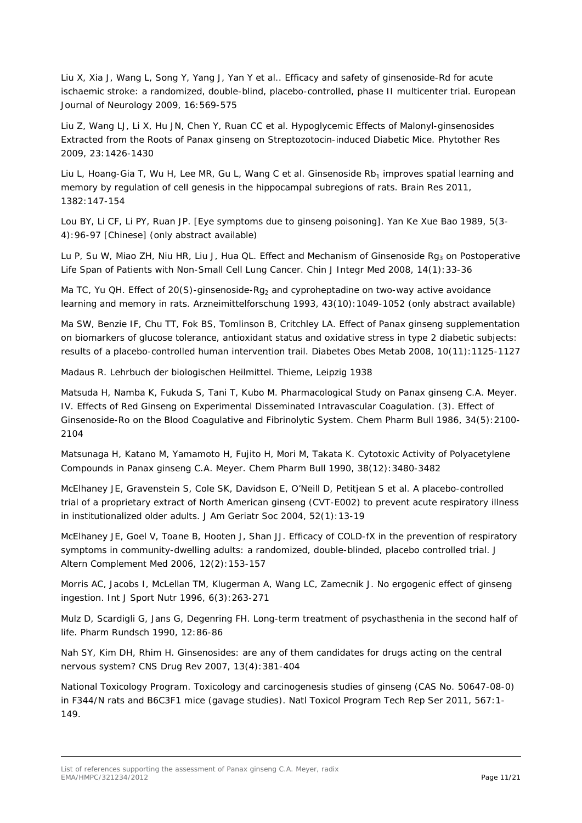Liu X, Xia J, Wang L, Song Y, Yang J, Yan Y *et al*.. Efficacy and safety of ginsenoside-Rd for acute ischaemic stroke: a randomized, double-blind, placebo-controlled, phase II multicenter trial. *European Journal of Neurology* 2009, 16:569-575

Liu Z, Wang LJ, Li X, Hu JN, Chen Y, Ruan CC *et al*. Hypoglycemic Effects of Malonyl-ginsenosides Extracted from the Roots of *Panax ginseng* on Streptozotocin-induced Diabetic Mice. *Phytother Res* 2009, 23:1426-1430

Liu L, Hoang-Gia T, Wu H, Lee MR, Gu L, Wang C et al. Ginsenoside Rb<sub>1</sub> improves spatial learning and memory by regulation of cell genesis in the hippocampal subregions of rats. *Brain Res* 2011, 1382:147-154

Lou BY, Li CF, Li PY, Ruan JP. [Eye symptoms due to ginseng poisoning]. *Yan Ke Xue Bao* 1989, 5(3- 4):96-97 [Chinese] (only abstract available)

Lu P, Su W, Miao ZH, Niu HR, Liu J, Hua QL. Effect and Mechanism of Ginsenoside Rg<sub>3</sub> on Postoperative Life Span of Patients with Non-Small Cell Lung Cancer. *Chin J Integr Med* 2008, 14(1):33-36

Ma TC, Yu QH. Effect of 20(S)-ginsenoside-Rg<sub>2</sub> and cyproheptadine on two-way active avoidance learning and memory in rats. *Arzneimittelforschung* 1993, 43(10):1049-1052 (only abstract available)

Ma SW, Benzie IF, Chu TT, Fok BS, Tomlinson B, Critchley LA. Effect of Panax ginseng supplementation on biomarkers of glucose tolerance, antioxidant status and oxidative stress in type 2 diabetic subjects: results of a placebo-controlled human intervention trail. *Diabetes Obes Metab* 2008, 10(11):1125-1127

Madaus R. Lehrbuch der biologischen Heilmittel. Thieme, Leipzig 1938

Matsuda H, Namba K, Fukuda S, Tani T, Kubo M. Pharmacological Study on Panax ginseng C.A. Meyer. IV. Effects of Red Ginseng on Experimental Disseminated Intravascular Coagulation. (3). Effect of Ginsenoside-Ro on the Blood Coagulative and Fibrinolytic System. *Chem Pharm Bull* 1986, 34(5):2100- 2104

Matsunaga H, Katano M, Yamamoto H, Fujito H, Mori M, Takata K. Cytotoxic Activity of Polyacetylene Compounds in *Panax ginseng* C.A. Meyer. *Chem Pharm Bull* 1990, 38(12):3480-3482

McElhaney JE, Gravenstein S, Cole SK, Davidson E, O'Neill D, Petitjean S *et al*. A placebo-controlled trial of a proprietary extract of North American ginseng (CVT-E002) to prevent acute respiratory illness in institutionalized older adults. *J Am Geriatr Soc* 2004, 52(1):13-19

McElhaney JE, Goel V, Toane B, Hooten J, Shan JJ. Efficacy of COLD-fX in the prevention of respiratory symptoms in community-dwelling adults: a randomized, double-blinded, placebo controlled trial. *J Altern Complement Med* 2006, 12(2):153-157

Morris AC, Jacobs I, McLellan TM, Klugerman A, Wang LC, Zamecnik J. No ergogenic effect of ginseng ingestion. *Int J Sport Nutr* 1996, 6(3):263-271

Mulz D, Scardigli G, Jans G, Degenring FH. Long-term treatment of psychasthenia in the second half of life. *Pharm Rundsch* 1990, 12:86-86

Nah SY, Kim DH, Rhim H. Ginsenosides: are any of them candidates for drugs acting on the central nervous system? *CNS Drug Rev* 2007, 13(4):381-404

National Toxicology Program. Toxicology and carcinogenesis studies of ginseng (CAS No. 50647-08-0) in F344/N rats and B6C3F1 mice (gavage studies). *Natl Toxicol Program Tech Rep Ser* 2011, 567:1- 149.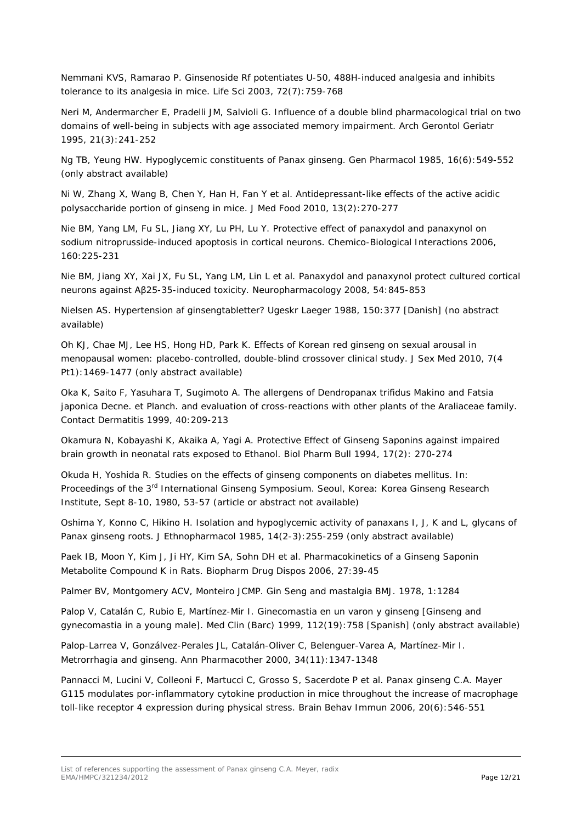Nemmani KVS, Ramarao P. Ginsenoside Rf potentiates U-50, 488H-induced analgesia and inhibits tolerance to its analgesia in mice. *Life Sci* 2003, 72(7):759-768

Neri M, Andermarcher E, Pradelli JM, Salvioli G. Influence of a double blind pharmacological trial on two domains of well-being in subjects with age associated memory impairment. *Arch Gerontol Geriatr*  1995, 21(3):241-252

Ng TB, Yeung HW. Hypoglycemic constituents of Panax ginseng. *Gen Pharmacol* 1985, 16(6):549-552 (only abstract available)

Ni W, Zhang X, Wang B, Chen Y, Han H, Fan Y *et al*. Antidepressant-like effects of the active acidic polysaccharide portion of ginseng in mice. *J Med Food* 2010, 13(2):270-277

Nie BM, Yang LM, Fu SL, Jiang XY, Lu PH, Lu Y. Protective effect of panaxydol and panaxynol on sodium nitroprusside-induced apoptosis in cortical neurons. *Chemico-Biological Interactions* 2006, 160:225-231

Nie BM, Jiang XY, Xai JX, Fu SL, Yang LM, Lin L *et al*. Panaxydol and panaxynol protect cultured cortical neurons against Aβ25-35-induced toxicity. *Neuropharmacology* 2008, 54:845-853

Nielsen AS. Hypertension af ginsengtabletter? *Ugeskr Laeger* 1988, 150:377 [Danish] (no abstract available)

Oh KJ, Chae MJ, Lee HS, Hong HD, Park K. Effects of Korean red ginseng on sexual arousal in menopausal women: placebo-controlled, double-blind crossover clinical study. *J Sex Med* 2010, 7(4 Pt1):1469-1477 (only abstract available)

Oka K, Saito F, Yasuhara T, Sugimoto A. The allergens of Dendropanax trifidus Makino and Fatsia japonica Decne. et Planch. and evaluation of cross-reactions with other plants of the Araliaceae family. *Contact Dermatitis* 1999, 40:209-213

Okamura N, Kobayashi K, Akaika A, Yagi A. Protective Effect of Ginseng Saponins against impaired brain growth in neonatal rats exposed to Ethanol. *Biol Pharm Bull* 1994, 17(2): 270-274

Okuda H, Yoshida R. Studies on the effects of ginseng components on diabetes mellitus*. In: Proceedings of the 3rd International Ginseng Symposium.* Seoul, Korea: Korea Ginseng Research Institute, Sept 8-10, 1980, 53-57 (article or abstract not available)

Oshima Y, Konno C, Hikino H. Isolation and hypoglycemic activity of panaxans I, J, K and L, glycans of Panax ginseng roots. *J Ethnopharmacol* 1985, 14(2-3):255-259 (only abstract available)

Paek IB, Moon Y, Kim J, Ji HY, Kim SA, Sohn DH *et al*. Pharmacokinetics of a Ginseng Saponin Metabolite Compound K in Rats. *Biopharm Drug Dispos* 2006, 27:39-45

Palmer BV, Montgomery ACV, Monteiro JCMP. Gin Seng and mastalgia *BMJ*. 1978, 1:1284

Palop V, Catalán C, Rubio E, Martínez-Mir I. Ginecomastia en un varon y ginseng [Ginseng and gynecomastia in a young male]. Med Clin (Barc) 1999, 112(19):758 [Spanish] (only abstract available)

Palop-Larrea V, Gonzálvez-Perales JL, Catalán-Oliver C, Belenguer-Varea A, Martínez-Mir I. Metrorrhagia and ginseng. *Ann Pharmacother* 2000, 34(11):1347-1348

Pannacci M, Lucini V, Colleoni F, Martucci C, Grosso S, Sacerdote P *et al*. Panax ginseng C.A. Mayer G115 modulates por-inflammatory cytokine production in mice throughout the increase of macrophage toll-like receptor 4 expression during physical stress. *Brain Behav Immun* 2006, 20(6):546-551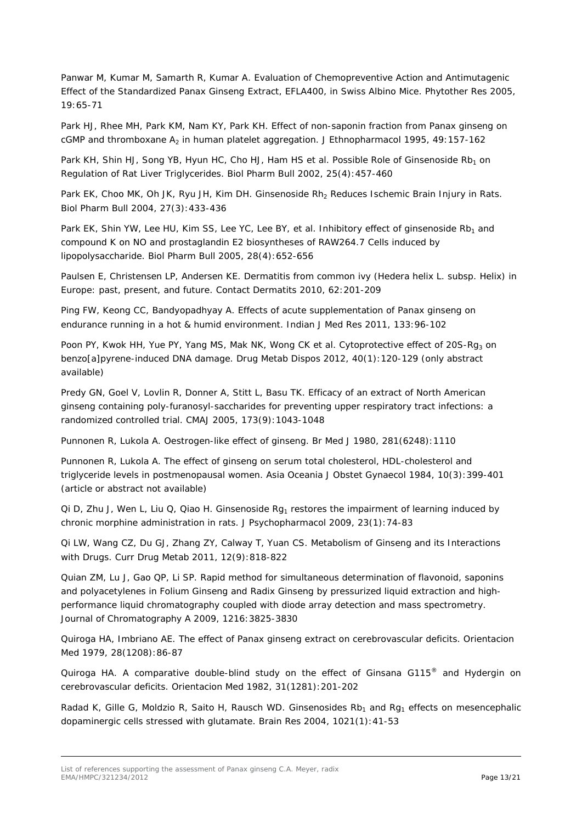Panwar M, Kumar M, Samarth R, Kumar A. Evaluation of Chemopreventive Action and Antimutagenic Effect of the Standardized Panax Ginseng Extract, EFLA400, in Swiss Albino Mice. *Phytother Res* 2005, 19:65-71

Park HJ, Rhee MH, Park KM, Nam KY, Park KH. Effect of non-saponin fraction from Panax ginseng on cGMP and thromboxane A<sub>2</sub> in human platelet aggregation. *J Ethnopharmacol* 1995, 49:157-162

Park KH, Shin HJ, Song YB, Hyun HC, Cho HJ, Ham HS *et al.* Possible Role of Ginsenoside Rb<sub>1</sub> on Regulation of Rat Liver Triglycerides. *Biol Pharm Bull* 2002, 25(4):457-460

Park EK, Choo MK, Oh JK, Ryu JH, Kim DH. Ginsenoside Rh<sub>2</sub> Reduces Ischemic Brain Injury in Rats. *Biol Pharm Bull* 2004, 27(3):433-436

Park EK, Shin YW, Lee HU, Kim SS, Lee YC, Lee BY, *et al.* Inhibitory effect of ginsenoside Rb<sub>1</sub> and compound K on NO and prostaglandin E2 biosyntheses of RAW264.7 Cells induced by lipopolysaccharide. *Biol Pharm Bull* 2005, 28(4):652-656

Paulsen E, Christensen LP, Andersen KE. Dermatitis from common ivy (Hedera helix L. subsp. Helix) in Europe: past, present, and future. *Contact Dermatits* 2010, 62:201-209

Ping FW, Keong CC, Bandyopadhyay A. Effects of acute supplementation of Panax ginseng on endurance running in a hot & humid environment. *Indian J Med Res* 2011, 133:96-102

Poon PY, Kwok HH, Yue PY, Yang MS, Mak NK, Wong CK *et al.* Cytoprotective effect of 20S-Rg<sub>3</sub> on benzo[a]pyrene-induced DNA damage. *Drug Metab Dispos* 2012, 40(1):120-129 (only abstract available)

Predy GN, Goel V, Lovlin R, Donner A, Stitt L, Basu TK. Efficacy of an extract of North American ginseng containing poly-furanosyl-saccharides for preventing upper respiratory tract infections: a randomized controlled trial. *CMAJ* 2005, 173(9):1043-1048

Punnonen R, Lukola A. Oestrogen-like effect of ginseng. *Br Med J* 1980, 281(6248):1110

Punnonen R, Lukola A. The effect of ginseng on serum total cholesterol, HDL-cholesterol and triglyceride levels in postmenopausal women. *Asia Oceania J Obstet Gynaecol* 1984, 10(3):399-401 (article or abstract not available)

Qi D, Zhu J, Wen L, Liu Q, Qiao H. Ginsenoside  $Rq_1$  restores the impairment of learning induced by chronic morphine administration in rats. *J Psychopharmacol* 2009, 23(1):74-83

Qi LW, Wang CZ, Du GJ, Zhang ZY, Calway T, Yuan CS. Metabolism of Ginseng and its Interactions with Drugs. *Curr Drug Metab* 2011, 12(9):818-822

Quian ZM, Lu J, Gao QP, Li SP. Rapid method for simultaneous determination of flavonoid, saponins and polyacetylenes in Folium Ginseng and Radix Ginseng by pressurized liquid extraction and highperformance liquid chromatography coupled with diode array detection and mass spectrometry. *Journal of Chromatography A* 2009, 1216:3825-3830

Quiroga HA, Imbriano AE. The effect of Panax ginseng extract on cerebrovascular deficits. *Orientacion Med* 1979, 28(1208):86-87

Quiroga HA. A comparative double-blind study on the effect of Ginsana G115<sup>®</sup> and Hydergin on cerebrovascular deficits. *Orientacion Med* 1982, 31(1281):201-202

Radad K, Gille G, Moldzio R, Saito H, Rausch WD. Ginsenosides  $Rb<sub>1</sub>$  and Rg<sub>1</sub> effects on mesencephalic dopaminergic cells stressed with glutamate. *Brain Res* 2004, 1021(1):41-53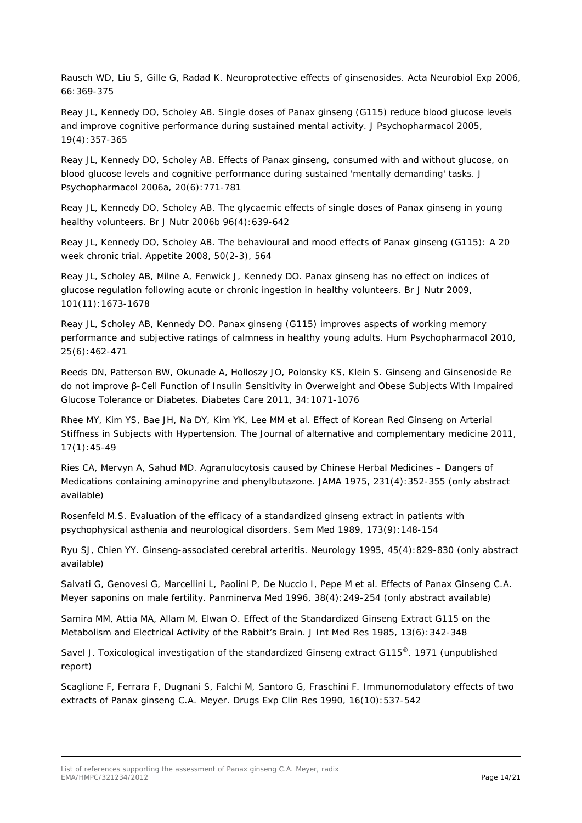Rausch WD, Liu S, Gille G, Radad K. Neuroprotective effects of ginsenosides. *Acta Neurobiol Exp* 2006, 66:369-375

Reay JL, Kennedy DO, Scholey AB. Single doses of Panax ginseng (G115) reduce blood glucose levels and improve cognitive performance during sustained mental activity*. J Psychopharmacol* 2005, 19(4):357-365

Reay JL, Kennedy DO, Scholey AB. Effects of Panax ginseng, consumed with and without glucose, on blood glucose levels and cognitive performance during sustained 'mentally demanding' tasks. *J Psychopharmacol* 2006a, 20(6):771-781

Reay JL, Kennedy DO, Scholey AB. The glycaemic effects of single doses of Panax ginseng in young healthy volunteers. *Br J Nutr* 2006b 96(4):639-642

Reay JL, Kennedy DO, Scholey AB. The behavioural and mood effects of Panax ginseng (G115): A 20 week chronic trial. *Appetite* 2008, 50(2-3), 564

Reay JL, Scholey AB, Milne A, Fenwick J, Kennedy DO. *Panax ginseng* has no effect on indices of glucose regulation following acute or chronic ingestion in healthy volunteers. *Br J Nutr 2009,* 101(11):1673-1678

Reay JL, Scholey AB, Kennedy DO. Panax ginseng (G115) improves aspects of working memory performance and subjective ratings of calmness in healthy young adults. *Hum Psychopharmacol* 2010, 25(6):462-471

Reeds DN, Patterson BW, Okunade A, Holloszy JO, Polonsky KS, Klein S. Ginseng and Ginsenoside Re do not improve β-Cell Function of Insulin Sensitivity in Overweight and Obese Subjects With Impaired Glucose Tolerance or Diabetes. *Diabetes Care* 2011, 34:1071-1076

Rhee MY, Kim YS, Bae JH, Na DY, Kim YK, Lee MM *et al*. Effect of Korean Red Ginseng on Arterial Stiffness in Subjects with Hypertension. *The Journal of alternative and complementary medicine* 2011, 17(1):45-49

Ries CA, Mervyn A, Sahud MD. Agranulocytosis caused by Chinese Herbal Medicines – Dangers of Medications containing aminopyrine and phenylbutazone. *JAMA* 1975, 231(4):352-355 (only abstract available)

Rosenfeld M.S. Evaluation of the efficacy of a standardized ginseng extract in patients with psychophysical asthenia and neurological disorders. *Sem Med* 1989, 173(9):148-154

Ryu SJ, Chien YY. Ginseng-associated cerebral arteritis. *Neurology* 1995, 45(4):829-830 (only abstract available)

Salvati G, Genovesi G, Marcellini L, Paolini P, De Nuccio I, Pepe M *et al*. Effects of Panax Ginseng C.A. Meyer saponins on male fertility. *Panminerva Med* 1996, 38(4):249-254 (only abstract available)

Samira MM, Attia MA, Allam M, Elwan O. Effect of the Standardized Ginseng Extract G115 on the Metabolism and Electrical Activity of the Rabbit's Brain. *J Int Med Res* 1985, 13(6):342-348

Savel J. Toxicological investigation of the standardized Ginseng extract G115®. 1971 (unpublished report)

Scaglione F, Ferrara F, Dugnani S, Falchi M, Santoro G, Fraschini F. Immunomodulatory effects of two extracts of Panax ginseng C.A. Meyer. *Drugs Exp Clin Res* 1990, 16(10):537-542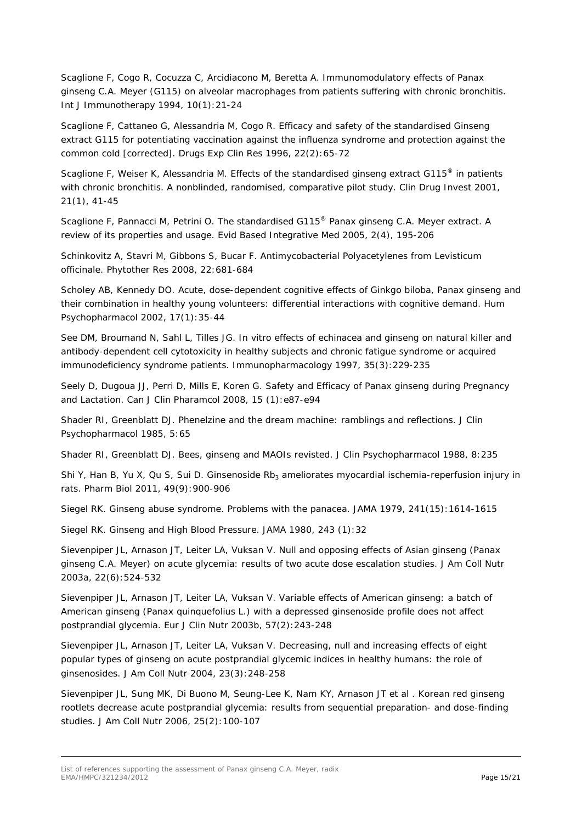Scaglione F, Cogo R, Cocuzza C, Arcidiacono M, Beretta A. Immunomodulatory effects of Panax ginseng C.A. Meyer (G115) on alveolar macrophages from patients suffering with chronic bronchitis. *Int J Immunotherapy 1994*, 10(1):21-24

Scaglione F, Cattaneo G, Alessandria M, Cogo R. Efficacy and safety of the standardised Ginseng extract G115 for potentiating vaccination against the influenza syndrome and protection against the common cold [corrected]. *Drugs Exp Clin Res* 1996, 22(2):65-72

Scaglione F, Weiser K, Alessandria M. Effects of the standardised ginseng extract G115<sup>®</sup> in patients with chronic bronchitis. A nonblinded, randomised, comparative pilot study. *Clin Drug Invest* 2001, 21(1), 41-45

Scaglione F, Pannacci M, Petrini O. The standardised G115® Panax ginseng C.A. Meyer extract. A review of its properties and usage. *Evid Based Integrative Med* 2005, 2(4), 195-206

Schinkovitz A, Stavri M, Gibbons S, Bucar F. Antimycobacterial Polyacetylenes from Levisticum officinale. *Phytother Res 2008*, 22:681-684

Scholey AB, Kennedy DO. Acute, dose-dependent cognitive effects of Ginkgo biloba, Panax ginseng and their combination in healthy young volunteers: differential interactions with cognitive demand. *Hum Psychopharmacol* 2002, 17(1):35-44

See DM, Broumand N, Sahl L, Tilles JG. In vitro effects of echinacea and ginseng on natural killer and antibody-dependent cell cytotoxicity in healthy subjects and chronic fatigue syndrome or acquired immunodeficiency syndrome patients. *Immunopharmacology* 1997, 35(3):229-235

Seely D, Dugoua JJ, Perri D, Mills E, Koren G. Safety and Efficacy of Panax ginseng during Pregnancy and Lactation. *Can J Clin Pharamcol* 2008, 15 (1):e87-e94

Shader RI, Greenblatt DJ. Phenelzine and the dream machine: ramblings and reflections. *J Clin Psychopharmacol* 1985, 5:65

Shader RI, Greenblatt DJ. Bees, ginseng and MAOIs revisted. *J Clin Psychopharmacol* 1988, 8:235

Shi Y, Han B, Yu X, Qu S, Sui D. Ginsenoside Rb<sub>3</sub> ameliorates myocardial ischemia-reperfusion injury in rats. *Pharm Biol* 2011, 49(9):900-906

Siegel RK. Ginseng abuse syndrome. Problems with the panacea. *JAMA* 1979, 241(15):1614-1615

Siegel RK. Ginseng and High Blood Pressure. *JAMA* 1980, 243 (1):32

Sievenpiper JL, Arnason JT, Leiter LA, Vuksan V. Null and opposing effects of Asian ginseng (Panax ginseng C.A. Meyer) on acute glycemia: results of two acute dose escalation studies. *J Am Coll Nutr* 2003a, 22(6):524-532

Sievenpiper JL, Arnason JT, Leiter LA, Vuksan V. Variable effects of American ginseng: a batch of American ginseng (Panax quinquefolius L.) with a depressed ginsenoside profile does not affect postprandial glycemia. *Eur J Clin Nutr* 2003b, 57(2):243-248

Sievenpiper JL, Arnason JT, Leiter LA, Vuksan V. Decreasing, null and increasing effects of eight popular types of ginseng on acute postprandial glycemic indices in healthy humans: the role of ginsenosides. *J Am Coll Nutr* 2004, 23(3):248-258

Sievenpiper JL, Sung MK, Di Buono M, Seung-Lee K, Nam KY, Arnason JT *et al* . Korean red ginseng rootlets decrease acute postprandial glycemia: results from sequential preparation- and dose-finding studies. *J Am Coll Nutr* 2006, 25(2):100-107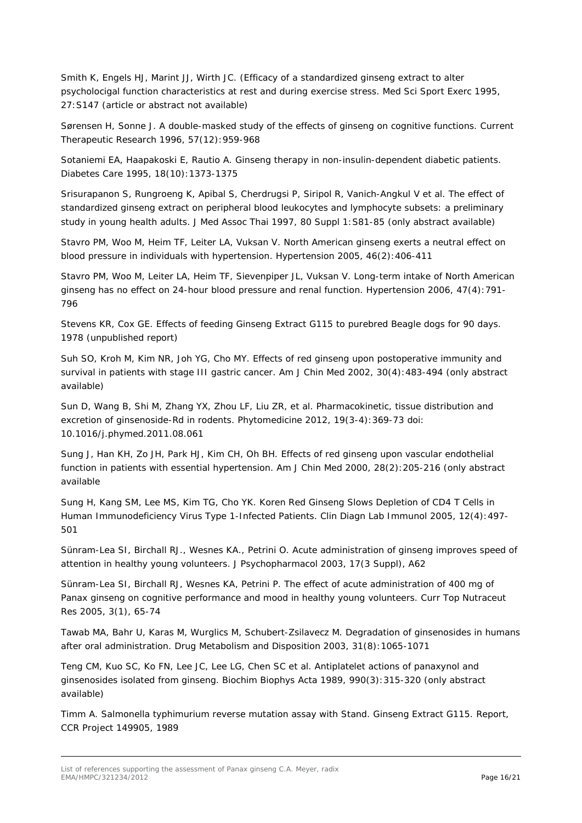Smith K, Engels HJ, Marint JJ, Wirth JC. (Efficacy of a standardized ginseng extract to alter psycholocigal function characteristics at rest and during exercise stress. *Med Sci Sport Exerc* 1995, 27:S147 (article or abstract not available)

Sørensen H, Sonne J. A double-masked study of the effects of ginseng on cognitive functions. *Current Therapeutic Research* 1996, 57(12):959-968

Sotaniemi EA, Haapakoski E, Rautio A. Ginseng therapy in non-insulin-dependent diabetic patients. *Diabetes Care* 1995, 18(10):1373-1375

Srisurapanon S, Rungroeng K, Apibal S, Cherdrugsi P, Siripol R, Vanich-Angkul V *et al*. The effect of standardized ginseng extract on peripheral blood leukocytes and lymphocyte subsets: a preliminary study in young health adults. *J Med Assoc Thai* 1997, 80 Suppl 1:S81-85 (only abstract available)

Stavro PM, Woo M, Heim TF, Leiter LA, Vuksan V. North American ginseng exerts a neutral effect on blood pressure in individuals with hypertension. *Hypertension* 2005, 46(2):406-411

Stavro PM, Woo M, Leiter LA, Heim TF, Sievenpiper JL, Vuksan V. Long-term intake of North American ginseng has no effect on 24-hour blood pressure and renal function. *Hypertension* 2006, 47(4):791- 796

Stevens KR, Cox GE. Effects of feeding Ginseng Extract G115 to purebred Beagle dogs for 90 days. 1978 (unpublished report)

Suh SO, Kroh M, Kim NR, Joh YG, Cho MY. Effects of red ginseng upon postoperative immunity and survival in patients with stage III gastric cancer. *Am J Chin Med* 2002, 30(4):483-494 (only abstract available)

Sun D, Wang B, Shi M, Zhang YX, Zhou LF, Liu ZR, *et al*. Pharmacokinetic, tissue distribution and excretion of ginsenoside-Rd in rodents. *Phytomedicine* 2012, 19(3-4):369-73 doi: 10.1016/j.phymed.2011.08.061

Sung J, Han KH, Zo JH, Park HJ, Kim CH, Oh BH. Effects of red ginseng upon vascular endothelial function in patients with essential hypertension. *Am J Chin Med* 2000, 28(2):205-216 (only abstract available

Sung H, Kang SM, Lee MS, Kim TG, Cho YK. Koren Red Ginseng Slows Depletion of CD4 T Cells in Human Immunodeficiency Virus Type 1-Infected Patients. *Clin Diagn Lab Immunol* 2005, 12(4):497- 501

Sünram-Lea SI, Birchall RJ., Wesnes KA., Petrini O. Acute administration of ginseng improves speed of attention in healthy young volunteers. *J Psychopharmacol* 2003, 17(3 Suppl), A62

Sünram-Lea SI, Birchall RJ, Wesnes KA, Petrini P. The effect of acute administration of 400 mg of Panax ginseng on cognitive performance and mood in healthy young volunteers. *Curr Top Nutraceut Res* 2005, 3(1), 65-74

Tawab MA, Bahr U, Karas M, Wurglics M, Schubert-Zsilavecz M. Degradation of ginsenosides in humans after oral administration. *Drug Metabolism and Disposition* 2003, 31(8):1065-1071

Teng CM, Kuo SC, Ko FN, Lee JC, Lee LG, Chen SC *et al*. Antiplatelet actions of panaxynol and ginsenosides isolated from ginseng. *Biochim Biophys Acta* 1989, 990(3):315-320 (only abstract available)

Timm A. Salmonella typhimurium reverse mutation assay with Stand. Ginseng Extract G115. Report, CCR Project 149905, 1989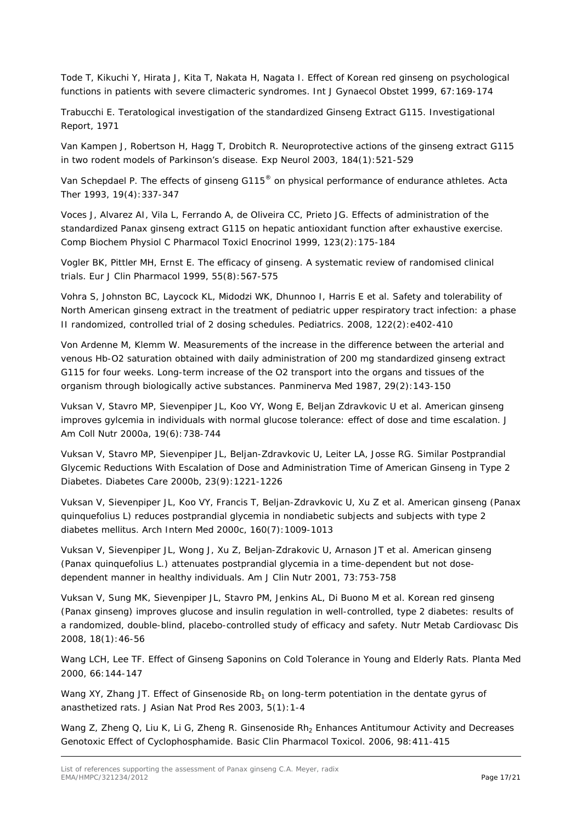Tode T, Kikuchi Y, Hirata J, Kita T, Nakata H, Nagata I. Effect of Korean red ginseng on psychological functions in patients with severe climacteric syndromes. *Int J Gynaecol Obstet* 1999, 67:169-174

Trabucchi E. Teratological investigation of the standardized Ginseng Extract G115. Investigational Report, 1971

Van Kampen J, Robertson H, Hagg T, Drobitch R. Neuroprotective actions of the ginseng extract G115 in two rodent models of Parkinson's disease. *Exp Neurol* 2003, 184(1):521-529

Van Schepdael P. The effects of ginseng G115® on physical performance of endurance athletes. Acta Ther 1993, 19(4):337-347

Voces J, Alvarez AI, Vila L, Ferrando A, de Oliveira CC, Prieto JG. Effects of administration of the standardized Panax ginseng extract G115 on hepatic antioxidant function after exhaustive exercise. *Comp Biochem Physiol C Pharmacol Toxicl Enocrinol* 1999, 123(2):175-184

Vogler BK, Pittler MH, Ernst E. The efficacy of ginseng. A systematic review of randomised clinical trials. *Eur J Clin Pharmacol* 1999, 55(8):567-575

Vohra S, Johnston BC, Laycock KL, Midodzi WK, Dhunnoo I, Harris E *et al*. Safety and tolerability of North American ginseng extract in the treatment of pediatric upper respiratory tract infection: a phase II randomized, controlled trial of 2 dosing schedules. *Pediatrics*. 2008, 122(2):e402-410

Von Ardenne M, Klemm W. Measurements of the increase in the difference between the arterial and venous Hb-O2 saturation obtained with daily administration of 200 mg standardized ginseng extract G115 for four weeks. Long-term increase of the O2 transport into the organs and tissues of the organism through biologically active substances. *Panminerva Med* 1987, 29(2):143-150

Vuksan V, Stavro MP, Sievenpiper JL, Koo VY, Wong E, Beljan Zdravkovic U *et al*. American ginseng improves gylcemia in individuals with normal glucose tolerance: effect of dose and time escalation. *J Am Coll Nutr* 2000a, 19(6):738-744

Vuksan V, Stavro MP, Sievenpiper JL, Beljan-Zdravkovic U, Leiter LA, Josse RG. Similar Postprandial Glycemic Reductions With Escalation of Dose and Administration Time of American Ginseng in Type 2 Diabetes. *Diabetes Care* 2000b, 23(9):1221-1226

Vuksan V, Sievenpiper JL, Koo VY, Francis T, Beljan-Zdravkovic U, Xu Z *et al*. American ginseng (Panax quinquefolius L) reduces postprandial glycemia in nondiabetic subjects and subjects with type 2 diabetes mellitus. *Arch Intern Med* 2000c, 160(7):1009-1013

Vuksan V, Sievenpiper JL, Wong J, Xu Z, Beljan-Zdrakovic U, Arnason JT *et al*. American ginseng (Panax quinquefolius L.) attenuates postprandial glycemia in a time-dependent but not dosedependent manner in healthy individuals. *Am J Clin Nutr* 2001, 73:753-758

Vuksan V, Sung MK, Sievenpiper JL, Stavro PM, Jenkins AL, Di Buono M *et al.* Korean red ginseng (Panax ginseng) improves glucose and insulin regulation in well-controlled, type 2 diabetes: results of a randomized, double-blind, placebo-controlled study of efficacy and safety. *Nutr Metab Cardiovasc Dis* 2008, 18(1):46-56

Wang LCH, Lee TF. Effect of Ginseng Saponins on Cold Tolerance in Young and Elderly Rats. *Planta Med* 2000, 66:144-147

Wang XY, Zhang JT. Effect of Ginsenoside Rb<sub>1</sub> on long-term potentiation in the dentate gyrus of anasthetized rats. *J Asian Nat Prod Res* 2003, 5(1):1-4

Wang Z, Zheng Q, Liu K, Li G, Zheng R. Ginsenoside Rh<sub>2</sub> Enhances Antitumour Activity and Decreases Genotoxic Effect of Cyclophosphamide. *Basic Clin Pharmacol Toxicol*. 2006, 98:411-415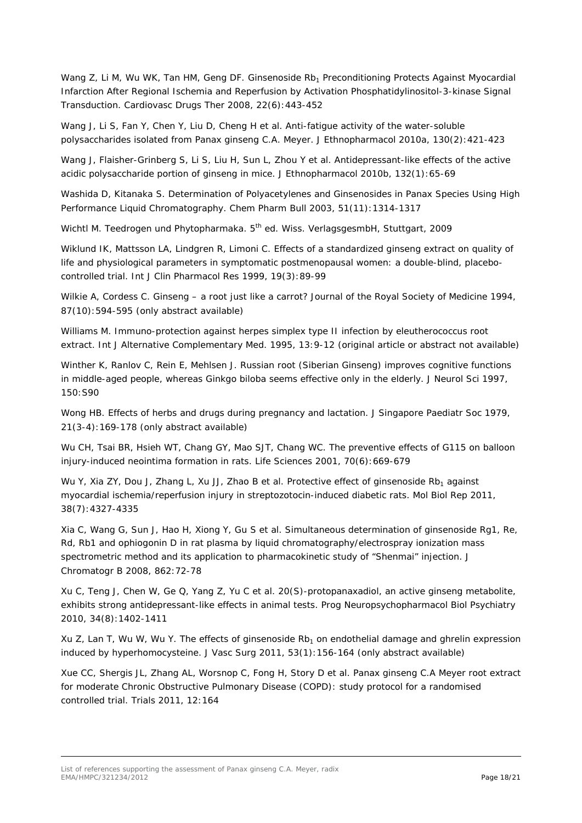Wang Z, Li M, Wu WK, Tan HM, Geng DF. Ginsenoside Rb<sub>1</sub> Preconditioning Protects Against Myocardial Infarction After Regional Ischemia and Reperfusion by Activation Phosphatidylinositol-3-kinase Signal Transduction. *Cardiovasc Drugs Ther* 2008, 22(6):443-452

Wang J, Li S, Fan Y, Chen Y, Liu D, Cheng H *et al*. Anti-fatigue activity of the water-soluble polysaccharides isolated from Panax ginseng C.A. Meyer. *J Ethnopharmacol* 2010a, 130(2):421-423

Wang J, Flaisher-Grinberg S, Li S, Liu H, Sun L, Zhou Y *et al.* Antidepressant-like effects of the active acidic polysaccharide portion of ginseng in mice. *J Ethnopharmacol* 2010b, 132(1):65-69

Washida D, Kitanaka S. Determination of Polyacetylenes and Ginsenosides in Panax Species Using High Performance Liquid Chromatography. *Chem Pharm Bull* 2003, 51(11):1314-1317

Wichtl M. Teedrogen und Phytopharmaka. 5<sup>th</sup> ed. Wiss. VerlagsgesmbH, Stuttgart, 2009

Wiklund IK, Mattsson LA, Lindgren R, Limoni C. Effects of a standardized ginseng extract on quality of life and physiological parameters in symptomatic postmenopausal women: a double-blind, placebocontrolled trial. *Int J Clin Pharmacol Res* 1999, 19(3):89-99

Wilkie A, Cordess C, Ginseng – a root just like a carrot? *Journal of the Royal Society of Medicine* 1994, 87(10):594-595 (only abstract available)

Williams M. Immuno-protection against herpes simplex type II infection by eleutherococcus root extract. *Int J Alternative Complementary Med*. 1995, 13:9-12 (original article or abstract not available)

Winther K, Ranlov C, Rein E, Mehlsen J. Russian root (Siberian Ginseng) improves cognitive functions in middle-aged people, whereas Ginkgo biloba seems effective only in the elderly. *J Neurol Sci* 1997, 150:S90

Wong HB. Effects of herbs and drugs during pregnancy and lactation. *J Singapore Paediatr Soc* 1979, 21(3-4):169-178 (only abstract available)

Wu CH, Tsai BR, Hsieh WT, Chang GY, Mao SJT, Chang WC. The preventive effects of G115 on balloon injury-induced neointima formation in rats. *Life Sciences* 2001, 70(6):669-679

Wu Y, Xia ZY, Dou J, Zhang L, Xu JJ, Zhao B *et al.* Protective effect of ginsenoside Rb<sub>1</sub> against myocardial ischemia/reperfusion injury in streptozotocin-induced diabetic rats. *Mol Biol Rep* 2011, 38(7):4327-4335

Xia C, Wang G, Sun J, Hao H, Xiong Y, Gu S *et al*. Simultaneous determination of ginsenoside Rg1, Re, Rd, Rb1 and ophiogonin D in rat plasma by liquid chromatography/electrospray ionization mass spectrometric method and its application to pharmacokinetic study of "Shenmai" injection. *J Chromatogr B* 2008, 862:72-78

Xu C, Teng J, Chen W, Ge Q, Yang Z, Yu C *et al*. 20(S)-protopanaxadiol, an active ginseng metabolite, exhibits strong antidepressant-like effects in animal tests. *Prog Neuropsychopharmacol Biol Psychiatry* 2010, 34(8):1402-1411

Xu Z, Lan T, Wu W, Wu Y. The effects of ginsenoside Rb<sub>1</sub> on endothelial damage and ghrelin expression induced by hyperhomocysteine. *J Vasc Surg* 2011, 53(1):156-164 (only abstract available)

Xue CC, Shergis JL, Zhang AL, Worsnop C, Fong H, Story D *et al*. Panax ginseng C.A Meyer root extract for moderate Chronic Obstructive Pulmonary Disease (COPD): study protocol for a randomised controlled trial. *Trials* 2011, 12:164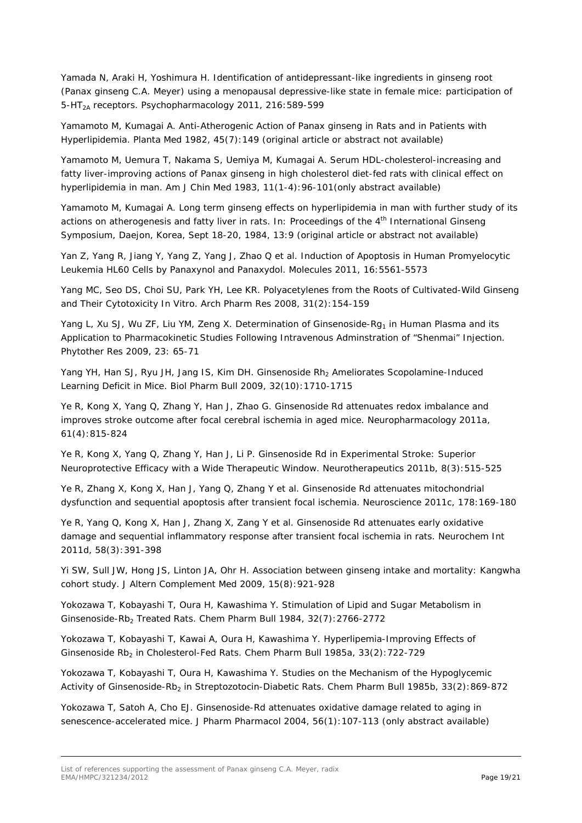Yamada N, Araki H, Yoshimura H. Identification of antidepressant-like ingredients in ginseng root (*Panax ginseng* C.A. Meyer) using a menopausal depressive-like state in female mice: participation of 5-HT2A receptors. *Psychopharmacology* 2011, 216:589-599

Yamamoto M, Kumagai A. Anti-Atherogenic Action of Panax ginseng in Rats and in Patients with Hyperlipidemia. *Planta Med* 1982, 45(7):149 (original article or abstract not available)

Yamamoto M, Uemura T, Nakama S, Uemiya M, Kumagai A. Serum HDL-cholesterol-increasing and fatty liver-improving actions of Panax ginseng in high cholesterol diet-fed rats with clinical effect on hyperlipidemia in man. *Am J Chin Med 1983*, 11(1-4):96-101(only abstract available)

Yamamoto M, Kumagai A. Long term ginseng effects on hyperlipidemia in man with further study of its actions on atherogenesis and fatty liver in rats. *In: Proceedings of the 4th International Ginseng Symposium*, Daejon, Korea, Sept 18-20, 1984, 13:9 (original article or abstract not available)

Yan Z, Yang R, Jiang Y, Yang Z, Yang J, Zhao Q *et al*. Induction of Apoptosis in Human Promyelocytic Leukemia HL60 Cells by Panaxynol and Panaxydol. *Molecules* 2011, 16:5561-5573

Yang MC, Seo DS, Choi SU, Park YH, Lee KR. Polyacetylenes from the Roots of Cultivated-Wild Ginseng and Their Cytotoxicity In *Vitro*. *Arch Pharm Res* 2008, 31(2):154-159

Yang L, Xu SJ, Wu ZF, Liu YM, Zeng X. Determination of Ginsenoside-Rg<sub>1</sub> in Human Plasma and its Application to Pharmacokinetic Studies Following Intravenous Adminstration of "Shenmai" Injection. *Phytother Res* 2009, 23: 65-71

Yang YH, Han SJ, Ryu JH, Jang IS, Kim DH. Ginsenoside Rh<sub>2</sub> Ameliorates Scopolamine-Induced Learning Deficit in Mice. *Biol Pharm Bull* 2009, 32(10):1710-1715

Ye R, Kong X, Yang Q, Zhang Y, Han J, Zhao G. Ginsenoside Rd attenuates redox imbalance and improves stroke outcome after focal cerebral ischemia in aged mice. *Neuropharmacology* 2011a, 61(4):815-824

Ye R, Kong X, Yang Q, Zhang Y, Han J, Li P. Ginsenoside Rd in Experimental Stroke: Superior Neuroprotective Efficacy with a Wide Therapeutic Window. *Neurotherapeutics* 2011b, 8(3):515-525

Ye R, Zhang X, Kong X, Han J, Yang Q, Zhang Y *et al*. Ginsenoside Rd attenuates mitochondrial dysfunction and sequential apoptosis after transient focal ischemia. *Neuroscience* 2011c, 178:169-180

Ye R, Yang Q, Kong X, Han J, Zhang X, Zang Y *et al*. Ginsenoside Rd attenuates early oxidative damage and sequential inflammatory response after transient focal ischemia in rats. *Neurochem Int* 2011d, 58(3):391-398

Yi SW, Sull JW, Hong JS, Linton JA, Ohr H. Association between ginseng intake and mortality: Kangwha cohort study. *J Altern Complement Med* 2009, 15(8):921-928

Yokozawa T, Kobayashi T, Oura H, Kawashima Y. Stimulation of Lipid and Sugar Metabolism in Ginsenoside-Rb2 Treated Rats. *Chem Pharm Bull* 1984, 32(7):2766-2772

Yokozawa T, Kobayashi T, Kawai A, Oura H, Kawashima Y. Hyperlipemia-Improving Effects of Ginsenoside Rb2 in Cholesterol-Fed Rats. *Chem Pharm Bull* 1985a, 33(2):722-729

Yokozawa T, Kobayashi T, Oura H, Kawashima Y. Studies on the Mechanism of the Hypoglycemic Activity of Ginsenoside-Rb<sub>2</sub> in Streptozotocin-Diabetic Rats. *Chem Pharm Bull* 1985b, 33(2):869-872

Yokozawa T, Satoh A, Cho EJ. Ginsenoside-Rd attenuates oxidative damage related to aging in senescence-accelerated mice. *J Pharm Pharmacol* 2004, 56(1):107-113 (only abstract available)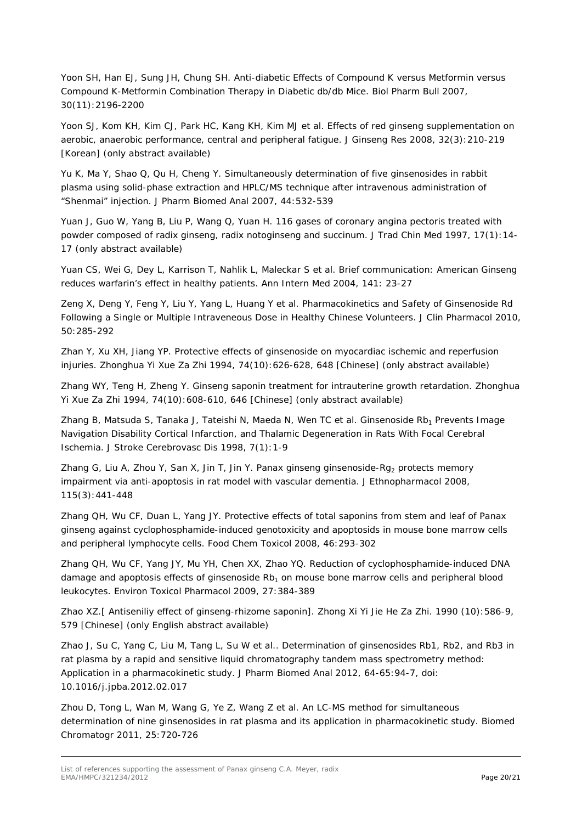Yoon SH, Han EJ, Sung JH, Chung SH. Anti-diabetic Effects of Compound K versus Metformin versus Compound K-Metformin Combination Therapy in Diabetic db/db Mice. *Biol Pharm Bull* 2007, 30(11):2196-2200

Yoon SJ, Kom KH, Kim CJ, Park HC, Kang KH, Kim MJ *et al*. Effects of red ginseng supplementation on aerobic, anaerobic performance, central and peripheral fatigue. *J Ginseng Res* 2008, 32(3):210-219 [Korean] (only abstract available)

Yu K, Ma Y, Shao Q, Qu H, Cheng Y. Simultaneously determination of five ginsenosides in rabbit plasma using solid-phase extraction and HPLC/MS technique after intravenous administration of "Shenmai" injection. *J Pharm Biomed Anal* 2007, 44:532-539

Yuan J, Guo W, Yang B, Liu P, Wang Q, Yuan H. 116 gases of coronary angina pectoris treated with powder composed of radix ginseng, radix notoginseng and succinum. *J Trad Chin Med* 1997, 17(1):14- 17 (only abstract available)

Yuan CS, Wei G, Dey L, Karrison T, Nahlik L, Maleckar S *et al.* Brief communication: American Ginseng reduces warfarin's effect in healthy patients. *Ann Intern Med* 2004, 141: 23-27

Zeng X, Deng Y, Feng Y, Liu Y, Yang L, Huang Y *et al*. Pharmacokinetics and Safety of Ginsenoside Rd Following a Single or Multiple Intraveneous Dose in Healthy Chinese Volunteers*. J Clin Pharmacol* 2010, 50:285-292

Zhan Y, Xu XH, Jiang YP. Protective effects of ginsenoside on myocardiac ischemic and reperfusion injuries. *Zhonghua Yi Xue Za Zhi* 1994, 74(10):626-628, 648 [Chinese] (only abstract available)

Zhang WY, Teng H, Zheng Y. Ginseng saponin treatment for intrauterine growth retardation. *Zhonghua Yi Xue Za Zhi* 1994, 74(10):608-610, 646 [Chinese] (only abstract available)

Zhang B, Matsuda S, Tanaka J, Tateishi N, Maeda N, Wen TC *et al*. Ginsenoside Rb<sub>1</sub> Prevents Image Navigation Disability Cortical Infarction, and Thalamic Degeneration in Rats With Focal Cerebral Ischemia. *J Stroke Cerebrovasc Dis* 1998, 7(1):1-9

Zhang G, Liu A, Zhou Y, San X, Jin T, Jin Y. Panax ginseng ginsenoside-Rg<sub>2</sub> protects memory impairment via anti-apoptosis in rat model with vascular dementia. *J Ethnopharmacol* 2008, 115(3):441-448

Zhang QH, Wu CF, Duan L, Yang JY. Protective effects of total saponins from stem and leaf of *Panax ginseng* against cyclophosphamide-induced genotoxicity and apoptosids in mouse bone marrow cells and peripheral lymphocyte cells. *Food Chem Toxicol* 2008, 46:293-302

Zhang QH, Wu CF, Yang JY, Mu YH, Chen XX, Zhao YQ. Reduction of cyclophosphamide-induced DNA damage and apoptosis effects of ginsenoside  $Rb<sub>1</sub>$  on mouse bone marrow cells and peripheral blood leukocytes. *Environ Toxicol Pharmacol* 2009, 27:384-389

Zhao XZ.[ Antiseniliy effect of ginseng-rhizome saponin]. *Zhong Xi Yi Jie He Za Zhi.* 1990 (10):586-9, 579 [Chinese] (only English abstract available)

Zhao J, Su C, Yang C, Liu M, Tang L, Su W *et al*.. Determination of ginsenosides Rb1, Rb2, and Rb3 in rat plasma by a rapid and sensitive liquid chromatography tandem mass spectrometry method: Application in a pharmacokinetic study. *J Pharm Biomed Anal* 2012, 64-65:94-7, doi: 10.1016/j.jpba.2012.02.017

Zhou D, Tong L, Wan M, Wang G, Ye Z, Wang Z *et al.* An LC-MS method for simultaneous determination of nine ginsenosides in rat plasma and its application in pharmacokinetic study. *Biomed Chromatogr* 2011, 25:720-726